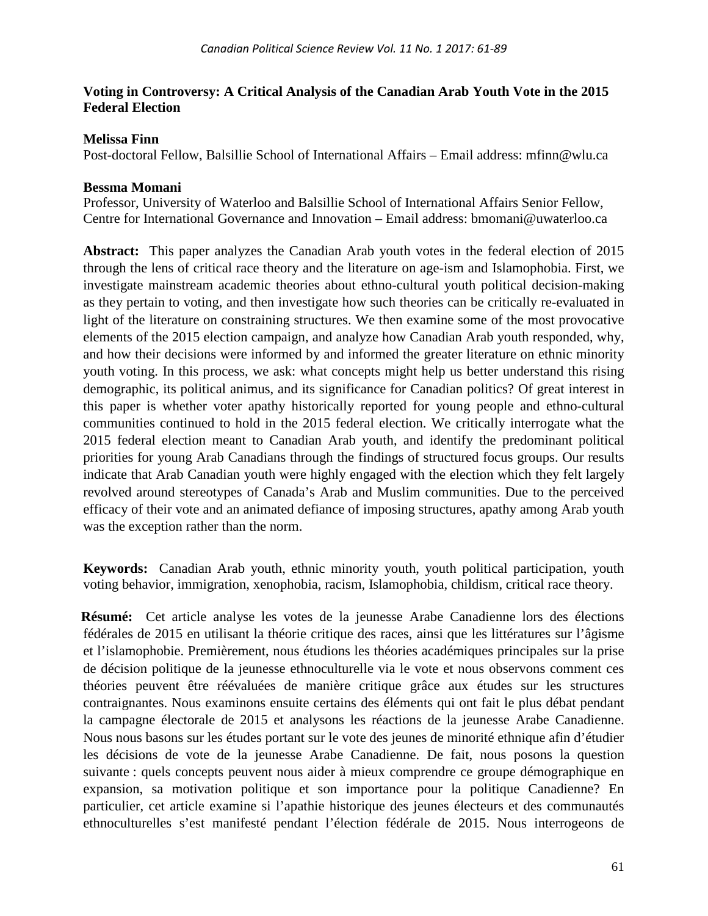# **Voting in Controversy: A Critical Analysis of the Canadian Arab Youth Vote in the 2015 Federal Election**

# **Melissa Finn**

Post-doctoral Fellow, Balsillie School of International Affairs – Email address: mfinn@wlu.ca

## **Bessma Momani**

Professor, University of Waterloo and Balsillie School of International Affairs Senior Fellow, Centre for International Governance and Innovation – Email address: bmomani@uwaterloo.ca

**Abstract:** This paper analyzes the Canadian Arab youth votes in the federal election of 2015 through the lens of critical race theory and the literature on age-ism and Islamophobia. First, we investigate mainstream academic theories about ethno-cultural youth political decision-making as they pertain to voting, and then investigate how such theories can be critically re-evaluated in light of the literature on constraining structures. We then examine some of the most provocative elements of the 2015 election campaign, and analyze how Canadian Arab youth responded, why, and how their decisions were informed by and informed the greater literature on ethnic minority youth voting. In this process, we ask: what concepts might help us better understand this rising demographic, its political animus, and its significance for Canadian politics? Of great interest in this paper is whether voter apathy historically reported for young people and ethno-cultural communities continued to hold in the 2015 federal election. We critically interrogate what the 2015 federal election meant to Canadian Arab youth, and identify the predominant political priorities for young Arab Canadians through the findings of structured focus groups. Our results indicate that Arab Canadian youth were highly engaged with the election which they felt largely revolved around stereotypes of Canada's Arab and Muslim communities. Due to the perceived efficacy of their vote and an animated defiance of imposing structures, apathy among Arab youth was the exception rather than the norm.

**Keywords:** Canadian Arab youth, ethnic minority youth, youth political participation, youth voting behavior, immigration, xenophobia, racism, Islamophobia, childism, critical race theory.

**Résumé:** Cet article analyse les votes de la jeunesse Arabe Canadienne lors des élections fédérales de 2015 en utilisant la théorie critique des races, ainsi que les littératures sur l'âgisme et l'islamophobie. Premièrement, nous étudions les théories académiques principales sur la prise de décision politique de la jeunesse ethnoculturelle via le vote et nous observons comment ces théories peuvent être réévaluées de manière critique grâce aux études sur les structures contraignantes. Nous examinons ensuite certains des éléments qui ont fait le plus débat pendant la campagne électorale de 2015 et analysons les réactions de la jeunesse Arabe Canadienne. Nous nous basons sur les études portant sur le vote des jeunes de minorité ethnique afin d'étudier les décisions de vote de la jeunesse Arabe Canadienne. De fait, nous posons la question suivante : quels concepts peuvent nous aider à mieux comprendre ce groupe démographique en expansion, sa motivation politique et son importance pour la politique Canadienne? En particulier, cet article examine si l'apathie historique des jeunes électeurs et des communautés ethnoculturelles s'est manifesté pendant l'élection fédérale de 2015. Nous interrogeons de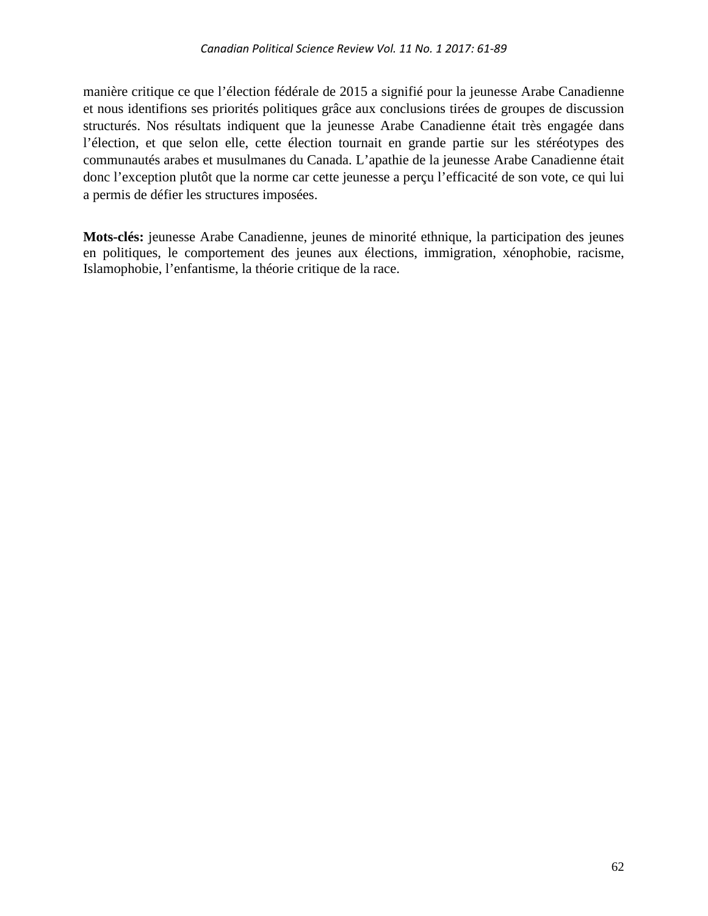manière critique ce que l'élection fédérale de 2015 a signifié pour la jeunesse Arabe Canadienne et nous identifions ses priorités politiques grâce aux conclusions tirées de groupes de discussion structurés. Nos résultats indiquent que la jeunesse Arabe Canadienne était très engagée dans l'élection, et que selon elle, cette élection tournait en grande partie sur les stéréotypes des communautés arabes et musulmanes du Canada. L'apathie de la jeunesse Arabe Canadienne était donc l'exception plutôt que la norme car cette jeunesse a perçu l'efficacité de son vote, ce qui lui a permis de défier les structures imposées.

**Mots-clés:** jeunesse Arabe Canadienne, jeunes de minorité ethnique, la participation des jeunes en politiques, le comportement des jeunes aux élections, immigration, xénophobie, racisme, Islamophobie, l'enfantisme, la théorie critique de la race.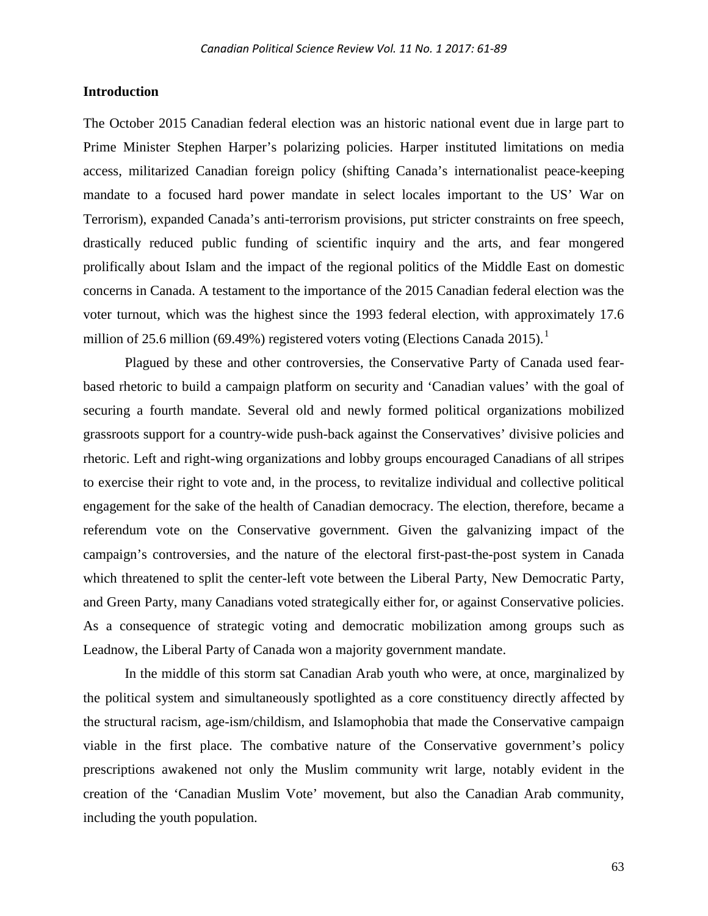#### **Introduction**

The October 2015 Canadian federal election was an historic national event due in large part to Prime Minister Stephen Harper's polarizing policies. Harper instituted limitations on media access, militarized Canadian foreign policy (shifting Canada's internationalist peace-keeping mandate to a focused hard power mandate in select locales important to the US' War on Terrorism), expanded Canada's anti-terrorism provisions, put stricter constraints on free speech, drastically reduced public funding of scientific inquiry and the arts, and fear mongered prolifically about Islam and the impact of the regional politics of the Middle East on domestic concerns in Canada. A testament to the importance of the 2015 Canadian federal election was the voter turnout, which was the highest since the 1993 federal election, with approximately 17.6 million of 25.6 million (69.49%) registered voters voting (Elections Canada 20[1](#page-27-0)5).<sup>1</sup>

Plagued by these and other controversies, the Conservative Party of Canada used fearbased rhetoric to build a campaign platform on security and 'Canadian values' with the goal of securing a fourth mandate. Several old and newly formed political organizations mobilized grassroots support for a country-wide push-back against the Conservatives' divisive policies and rhetoric. Left and right-wing organizations and lobby groups encouraged Canadians of all stripes to exercise their right to vote and, in the process, to revitalize individual and collective political engagement for the sake of the health of Canadian democracy. The election, therefore, became a referendum vote on the Conservative government. Given the galvanizing impact of the campaign's controversies, and the nature of the electoral first-past-the-post system in Canada which threatened to split the center-left vote between the Liberal Party, New Democratic Party, and Green Party, many Canadians voted strategically either for, or against Conservative policies. As a consequence of strategic voting and democratic mobilization among groups such as Leadnow, the Liberal Party of Canada won a majority government mandate.

In the middle of this storm sat Canadian Arab youth who were, at once, marginalized by the political system and simultaneously spotlighted as a core constituency directly affected by the structural racism, age-ism/childism, and Islamophobia that made the Conservative campaign viable in the first place. The combative nature of the Conservative government's policy prescriptions awakened not only the Muslim community writ large, notably evident in the creation of the 'Canadian Muslim Vote' movement, but also the Canadian Arab community, including the youth population.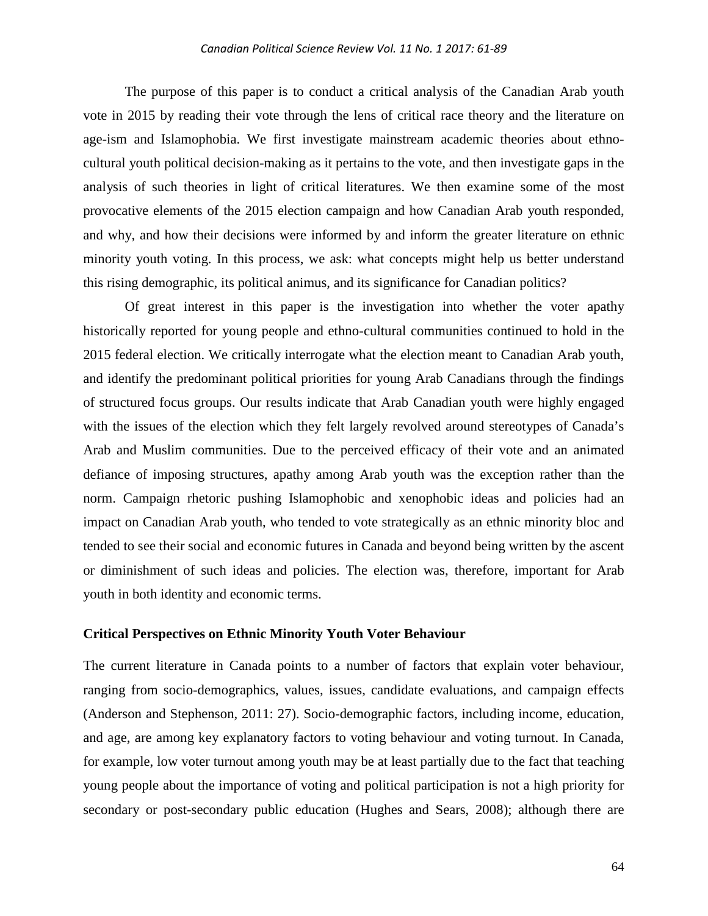The purpose of this paper is to conduct a critical analysis of the Canadian Arab youth vote in 2015 by reading their vote through the lens of critical race theory and the literature on age-ism and Islamophobia. We first investigate mainstream academic theories about ethnocultural youth political decision-making as it pertains to the vote, and then investigate gaps in the analysis of such theories in light of critical literatures. We then examine some of the most provocative elements of the 2015 election campaign and how Canadian Arab youth responded, and why, and how their decisions were informed by and inform the greater literature on ethnic minority youth voting. In this process, we ask: what concepts might help us better understand this rising demographic, its political animus, and its significance for Canadian politics?

Of great interest in this paper is the investigation into whether the voter apathy historically reported for young people and ethno-cultural communities continued to hold in the 2015 federal election. We critically interrogate what the election meant to Canadian Arab youth, and identify the predominant political priorities for young Arab Canadians through the findings of structured focus groups. Our results indicate that Arab Canadian youth were highly engaged with the issues of the election which they felt largely revolved around stereotypes of Canada's Arab and Muslim communities. Due to the perceived efficacy of their vote and an animated defiance of imposing structures, apathy among Arab youth was the exception rather than the norm. Campaign rhetoric pushing Islamophobic and xenophobic ideas and policies had an impact on Canadian Arab youth, who tended to vote strategically as an ethnic minority bloc and tended to see their social and economic futures in Canada and beyond being written by the ascent or diminishment of such ideas and policies. The election was, therefore, important for Arab youth in both identity and economic terms.

#### **Critical Perspectives on Ethnic Minority Youth Voter Behaviour**

The current literature in Canada points to a number of factors that explain voter behaviour, ranging from socio-demographics, values, issues, candidate evaluations, and campaign effects (Anderson and Stephenson, 2011: 27). Socio-demographic factors, including income, education, and age, are among key explanatory factors to voting behaviour and voting turnout. In Canada, for example, low voter turnout among youth may be at least partially due to the fact that teaching young people about the importance of voting and political participation is not a high priority for secondary or post-secondary public education (Hughes and Sears, 2008); although there are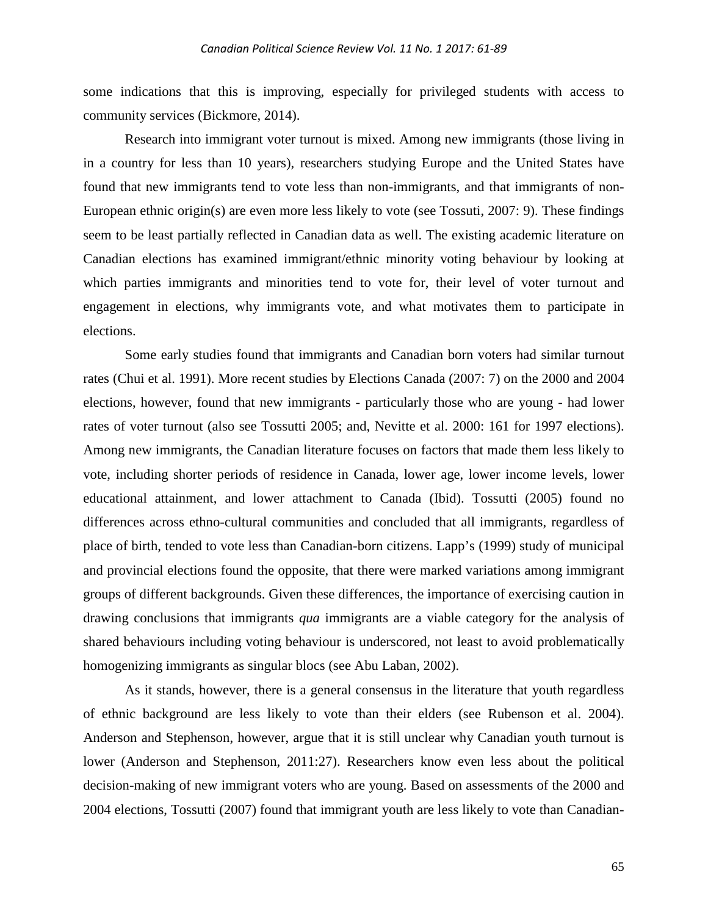some indications that this is improving, especially for privileged students with access to community services (Bickmore, 2014).

Research into immigrant voter turnout is mixed. Among new immigrants (those living in in a country for less than 10 years), researchers studying Europe and the United States have found that new immigrants tend to vote less than non-immigrants, and that immigrants of non-European ethnic origin(s) are even more less likely to vote (see Tossuti, 2007: 9). These findings seem to be least partially reflected in Canadian data as well. The existing academic literature on Canadian elections has examined immigrant/ethnic minority voting behaviour by looking at which parties immigrants and minorities tend to vote for, their level of voter turnout and engagement in elections, why immigrants vote, and what motivates them to participate in elections.

Some early studies found that immigrants and Canadian born voters had similar turnout rates (Chui et al. 1991). More recent studies by Elections Canada (2007: 7) on the 2000 and 2004 elections, however, found that new immigrants - particularly those who are young - had lower rates of voter turnout (also see Tossutti 2005; and, Nevitte et al. 2000: 161 for 1997 elections). Among new immigrants, the Canadian literature focuses on factors that made them less likely to vote, including shorter periods of residence in Canada, lower age, lower income levels, lower educational attainment, and lower attachment to Canada (Ibid). Tossutti (2005) found no differences across ethno-cultural communities and concluded that all immigrants, regardless of place of birth, tended to vote less than Canadian-born citizens. Lapp's (1999) study of municipal and provincial elections found the opposite, that there were marked variations among immigrant groups of different backgrounds. Given these differences, the importance of exercising caution in drawing conclusions that immigrants *qua* immigrants are a viable category for the analysis of shared behaviours including voting behaviour is underscored, not least to avoid problematically homogenizing immigrants as singular blocs (see Abu Laban, 2002).

As it stands, however, there is a general consensus in the literature that youth regardless of ethnic background are less likely to vote than their elders (see Rubenson et al. 2004). Anderson and Stephenson, however, argue that it is still unclear why Canadian youth turnout is lower (Anderson and Stephenson, 2011:27). Researchers know even less about the political decision-making of new immigrant voters who are young. Based on assessments of the 2000 and 2004 elections, Tossutti (2007) found that immigrant youth are less likely to vote than Canadian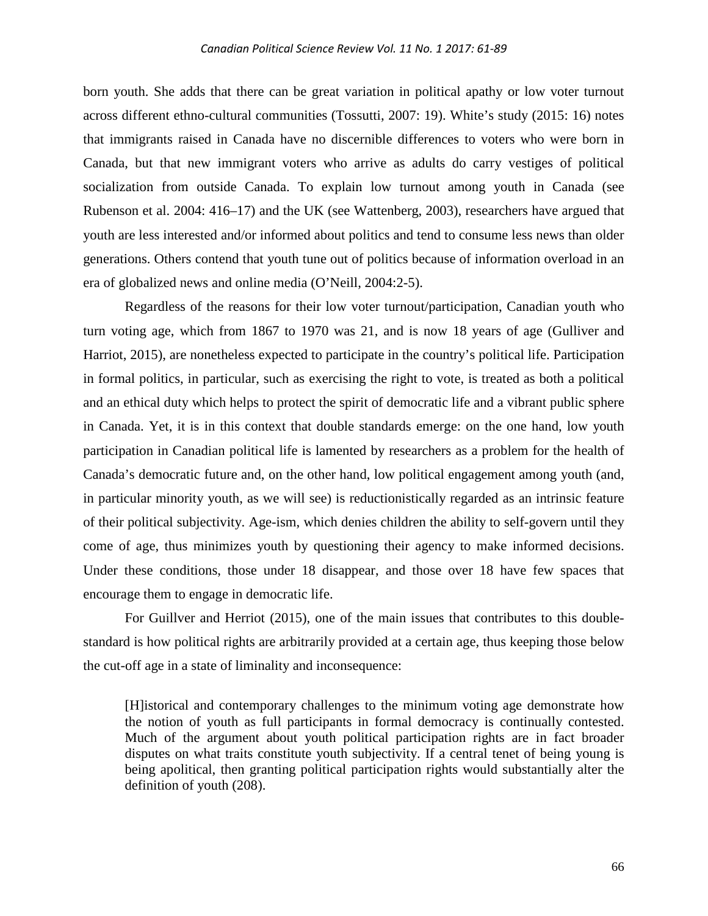born youth. She adds that there can be great variation in political apathy or low voter turnout across different ethno-cultural communities (Tossutti, 2007: 19). White's study (2015: 16) notes that immigrants raised in Canada have no discernible differences to voters who were born in Canada, but that new immigrant voters who arrive as adults do carry vestiges of political socialization from outside Canada. To explain low turnout among youth in Canada (see Rubenson et al. 2004: 416–17) and the UK (see Wattenberg, 2003), researchers have argued that youth are less interested and/or informed about politics and tend to consume less news than older generations. Others contend that youth tune out of politics because of information overload in an era of globalized news and online media (O'Neill, 2004:2-5).

Regardless of the reasons for their low voter turnout/participation, Canadian youth who turn voting age, which from 1867 to 1970 was 21, and is now 18 years of age (Gulliver and Harriot, 2015), are nonetheless expected to participate in the country's political life. Participation in formal politics, in particular, such as exercising the right to vote, is treated as both a political and an ethical duty which helps to protect the spirit of democratic life and a vibrant public sphere in Canada. Yet, it is in this context that double standards emerge: on the one hand, low youth participation in Canadian political life is lamented by researchers as a problem for the health of Canada's democratic future and, on the other hand, low political engagement among youth (and, in particular minority youth, as we will see) is reductionistically regarded as an intrinsic feature of their political subjectivity. Age-ism, which denies children the ability to self-govern until they come of age, thus minimizes youth by questioning their agency to make informed decisions. Under these conditions, those under 18 disappear, and those over 18 have few spaces that encourage them to engage in democratic life.

For Guillver and Herriot (2015), one of the main issues that contributes to this doublestandard is how political rights are arbitrarily provided at a certain age, thus keeping those below the cut-off age in a state of liminality and inconsequence:

[H]istorical and contemporary challenges to the minimum voting age demonstrate how the notion of youth as full participants in formal democracy is continually contested. Much of the argument about youth political participation rights are in fact broader disputes on what traits constitute youth subjectivity. If a central tenet of being young is being apolitical, then granting political participation rights would substantially alter the definition of youth (208).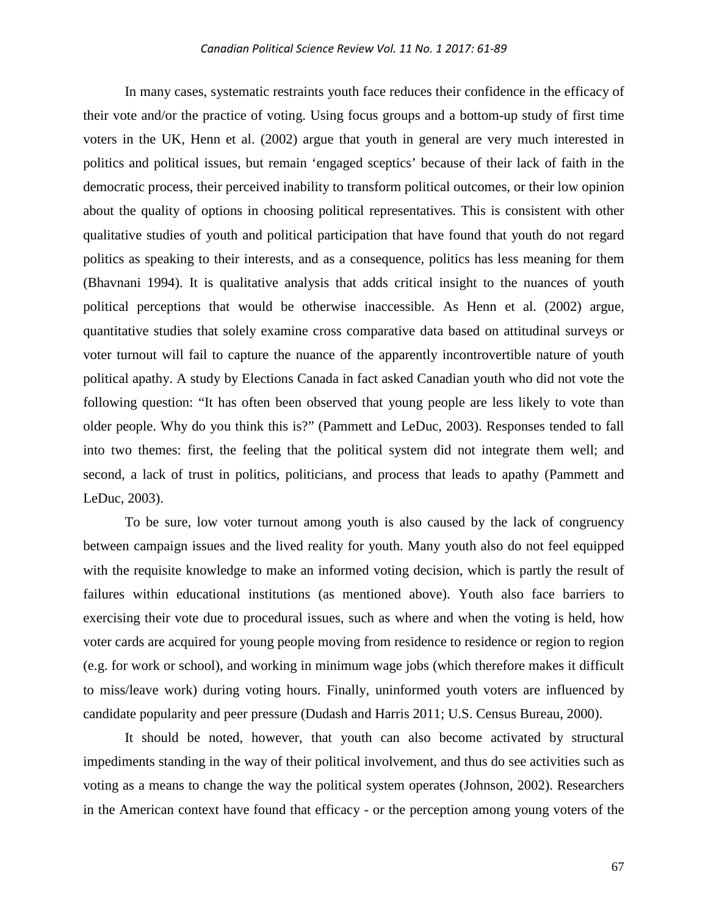In many cases, systematic restraints youth face reduces their confidence in the efficacy of their vote and/or the practice of voting. Using focus groups and a bottom-up study of first time voters in the UK, Henn et al. (2002) argue that youth in general are very much interested in politics and political issues, but remain 'engaged sceptics' because of their lack of faith in the democratic process, their perceived inability to transform political outcomes, or their low opinion about the quality of options in choosing political representatives. This is consistent with other qualitative studies of youth and political participation that have found that youth do not regard politics as speaking to their interests, and as a consequence, politics has less meaning for them (Bhavnani 1994). It is qualitative analysis that adds critical insight to the nuances of youth political perceptions that would be otherwise inaccessible. As Henn et al. (2002) argue, quantitative studies that solely examine cross comparative data based on attitudinal surveys or voter turnout will fail to capture the nuance of the apparently incontrovertible nature of youth political apathy. A study by Elections Canada in fact asked Canadian youth who did not vote the following question: "It has often been observed that young people are less likely to vote than older people. Why do you think this is?" (Pammett and LeDuc, 2003). Responses tended to fall into two themes: first, the feeling that the political system did not integrate them well; and second, a lack of trust in politics, politicians, and process that leads to apathy (Pammett and LeDuc, 2003).

To be sure, low voter turnout among youth is also caused by the lack of congruency between campaign issues and the lived reality for youth. Many youth also do not feel equipped with the requisite knowledge to make an informed voting decision, which is partly the result of failures within educational institutions (as mentioned above). Youth also face barriers to exercising their vote due to procedural issues, such as where and when the voting is held, how voter cards are acquired for young people moving from residence to residence or region to region (e.g. for work or school), and working in minimum wage jobs (which therefore makes it difficult to miss/leave work) during voting hours. Finally, uninformed youth voters are influenced by candidate popularity and peer pressure (Dudash and Harris 2011; U.S. Census Bureau, 2000).

It should be noted, however, that youth can also become activated by structural impediments standing in the way of their political involvement, and thus do see activities such as voting as a means to change the way the political system operates (Johnson, 2002). Researchers in the American context have found that efficacy - or the perception among young voters of the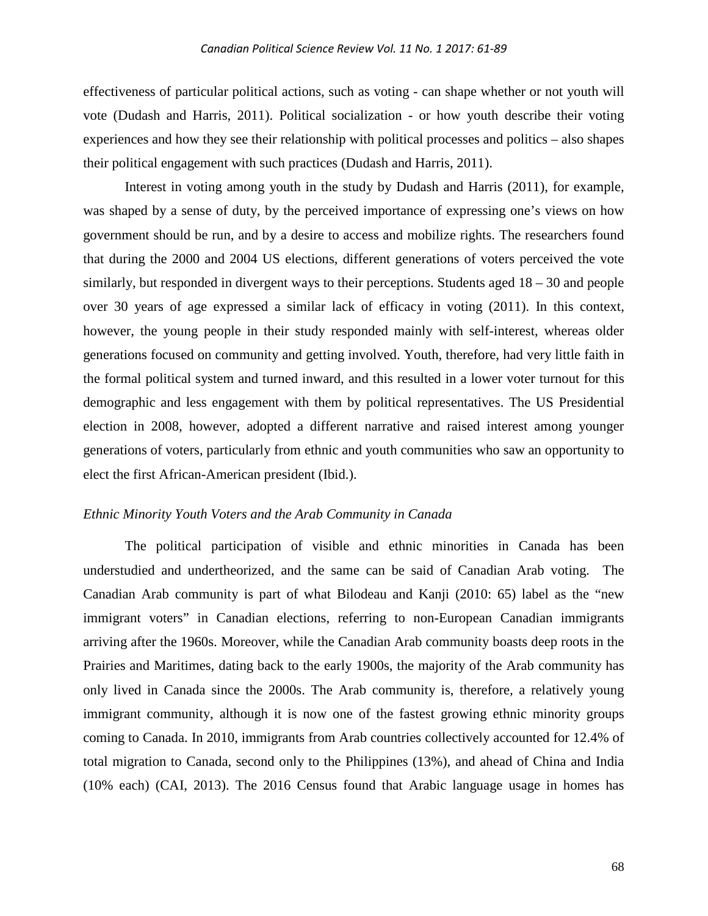effectiveness of particular political actions, such as voting - can shape whether or not youth will vote (Dudash and Harris, 2011). Political socialization - or how youth describe their voting experiences and how they see their relationship with political processes and politics – also shapes their political engagement with such practices (Dudash and Harris, 2011).

Interest in voting among youth in the study by Dudash and Harris (2011), for example, was shaped by a sense of duty, by the perceived importance of expressing one's views on how government should be run, and by a desire to access and mobilize rights. The researchers found that during the 2000 and 2004 US elections, different generations of voters perceived the vote similarly, but responded in divergent ways to their perceptions. Students aged 18 – 30 and people over 30 years of age expressed a similar lack of efficacy in voting (2011). In this context, however, the young people in their study responded mainly with self-interest, whereas older generations focused on community and getting involved. Youth, therefore, had very little faith in the formal political system and turned inward, and this resulted in a lower voter turnout for this demographic and less engagement with them by political representatives. The US Presidential election in 2008, however, adopted a different narrative and raised interest among younger generations of voters, particularly from ethnic and youth communities who saw an opportunity to elect the first African-American president (Ibid.).

#### *Ethnic Minority Youth Voters and the Arab Community in Canada*

The political participation of visible and ethnic minorities in Canada has been understudied and undertheorized, and the same can be said of Canadian Arab voting. The Canadian Arab community is part of what Bilodeau and Kanji (2010: 65) label as the "new immigrant voters" in Canadian elections, referring to non-European Canadian immigrants arriving after the 1960s. Moreover, while the Canadian Arab community boasts deep roots in the Prairies and Maritimes, dating back to the early 1900s, the majority of the Arab community has only lived in Canada since the 2000s. The Arab community is, therefore, a relatively young immigrant community, although it is now one of the fastest growing ethnic minority groups coming to Canada. In 2010, immigrants from Arab countries collectively accounted for 12.4% of total migration to Canada, second only to the Philippines (13%), and ahead of China and India (10% each) (CAI, 2013). The 2016 Census found that Arabic language usage in homes has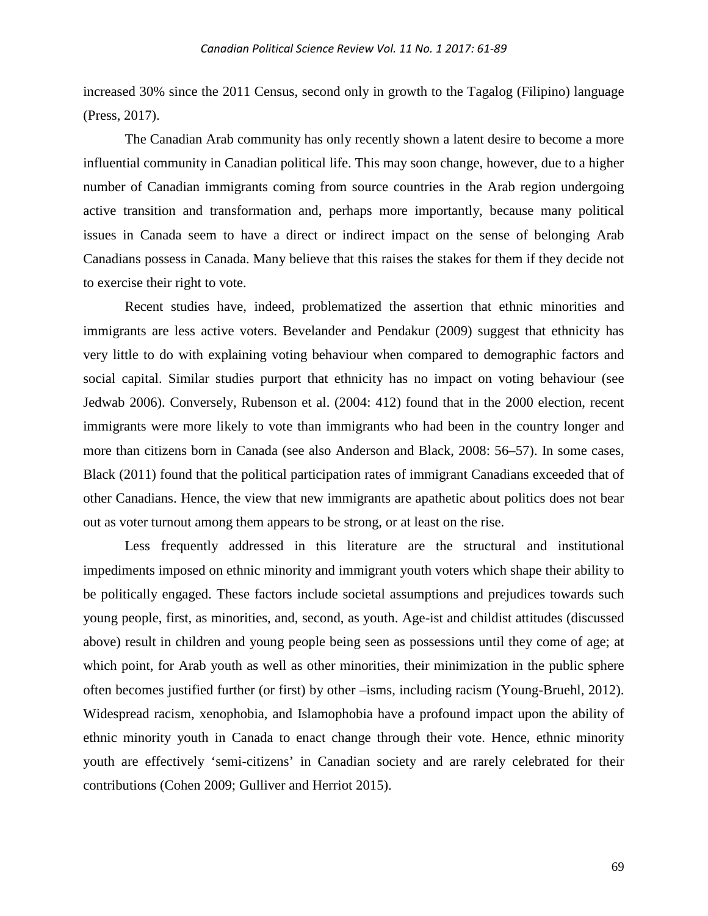increased 30% since the 2011 Census, second only in growth to the Tagalog (Filipino) language (Press, 2017).

The Canadian Arab community has only recently shown a latent desire to become a more influential community in Canadian political life. This may soon change, however, due to a higher number of Canadian immigrants coming from source countries in the Arab region undergoing active transition and transformation and, perhaps more importantly, because many political issues in Canada seem to have a direct or indirect impact on the sense of belonging Arab Canadians possess in Canada. Many believe that this raises the stakes for them if they decide not to exercise their right to vote.

Recent studies have, indeed, problematized the assertion that ethnic minorities and immigrants are less active voters. Bevelander and Pendakur (2009) suggest that ethnicity has very little to do with explaining voting behaviour when compared to demographic factors and social capital. Similar studies purport that ethnicity has no impact on voting behaviour (see Jedwab 2006). Conversely, Rubenson et al. (2004: 412) found that in the 2000 election, recent immigrants were more likely to vote than immigrants who had been in the country longer and more than citizens born in Canada (see also Anderson and Black, 2008: 56–57). In some cases, Black (2011) found that the political participation rates of immigrant Canadians exceeded that of other Canadians. Hence, the view that new immigrants are apathetic about politics does not bear out as voter turnout among them appears to be strong, or at least on the rise.

Less frequently addressed in this literature are the structural and institutional impediments imposed on ethnic minority and immigrant youth voters which shape their ability to be politically engaged. These factors include societal assumptions and prejudices towards such young people, first, as minorities, and, second, as youth. Age-ist and childist attitudes (discussed above) result in children and young people being seen as possessions until they come of age; at which point, for Arab youth as well as other minorities, their minimization in the public sphere often becomes justified further (or first) by other –isms, including racism (Young-Bruehl, 2012). Widespread racism, xenophobia, and Islamophobia have a profound impact upon the ability of ethnic minority youth in Canada to enact change through their vote. Hence, ethnic minority youth are effectively 'semi-citizens' in Canadian society and are rarely celebrated for their contributions (Cohen 2009; Gulliver and Herriot 2015).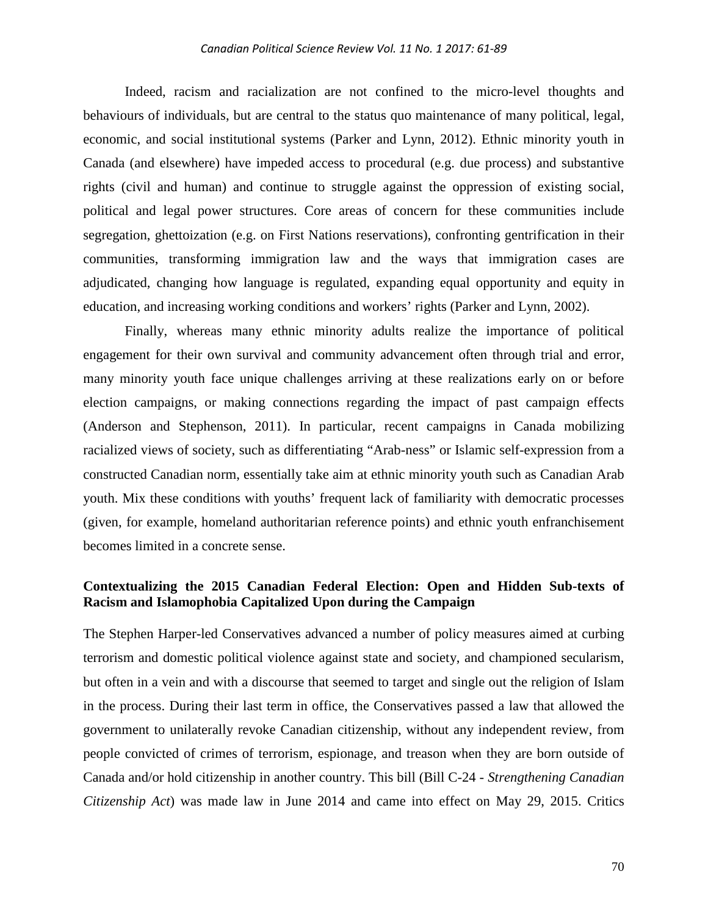Indeed, racism and racialization are not confined to the micro-level thoughts and behaviours of individuals, but are central to the status quo maintenance of many political, legal, economic, and social institutional systems (Parker and Lynn, 2012). Ethnic minority youth in Canada (and elsewhere) have impeded access to procedural (e.g. due process) and substantive rights (civil and human) and continue to struggle against the oppression of existing social, political and legal power structures. Core areas of concern for these communities include segregation, ghettoization (e.g. on First Nations reservations), confronting gentrification in their communities, transforming immigration law and the ways that immigration cases are adjudicated, changing how language is regulated, expanding equal opportunity and equity in education, and increasing working conditions and workers' rights (Parker and Lynn, 2002).

Finally, whereas many ethnic minority adults realize the importance of political engagement for their own survival and community advancement often through trial and error, many minority youth face unique challenges arriving at these realizations early on or before election campaigns, or making connections regarding the impact of past campaign effects (Anderson and Stephenson, 2011). In particular, recent campaigns in Canada mobilizing racialized views of society, such as differentiating "Arab-ness" or Islamic self-expression from a constructed Canadian norm, essentially take aim at ethnic minority youth such as Canadian Arab youth. Mix these conditions with youths' frequent lack of familiarity with democratic processes (given, for example, homeland authoritarian reference points) and ethnic youth enfranchisement becomes limited in a concrete sense.

# **Contextualizing the 2015 Canadian Federal Election: Open and Hidden Sub-texts of Racism and Islamophobia Capitalized Upon during the Campaign**

The Stephen Harper-led Conservatives advanced a number of policy measures aimed at curbing terrorism and domestic political violence against state and society, and championed secularism, but often in a vein and with a discourse that seemed to target and single out the religion of Islam in the process. During their last term in office, the Conservatives passed a law that allowed the government to unilaterally revoke Canadian citizenship, without any independent review, from people convicted of crimes of terrorism, espionage, and treason when they are born outside of Canada and/or hold citizenship in another country. This bill (Bill C-24 - *[Strengthening Canadian](http://lois-laws.justice.gc.ca/eng/AnnualStatutes/2014_22/page-1.html)  [Citizenship Act](http://lois-laws.justice.gc.ca/eng/AnnualStatutes/2014_22/page-1.html)*) was made law in June 2014 and came into effect on May 29, 2015. Critics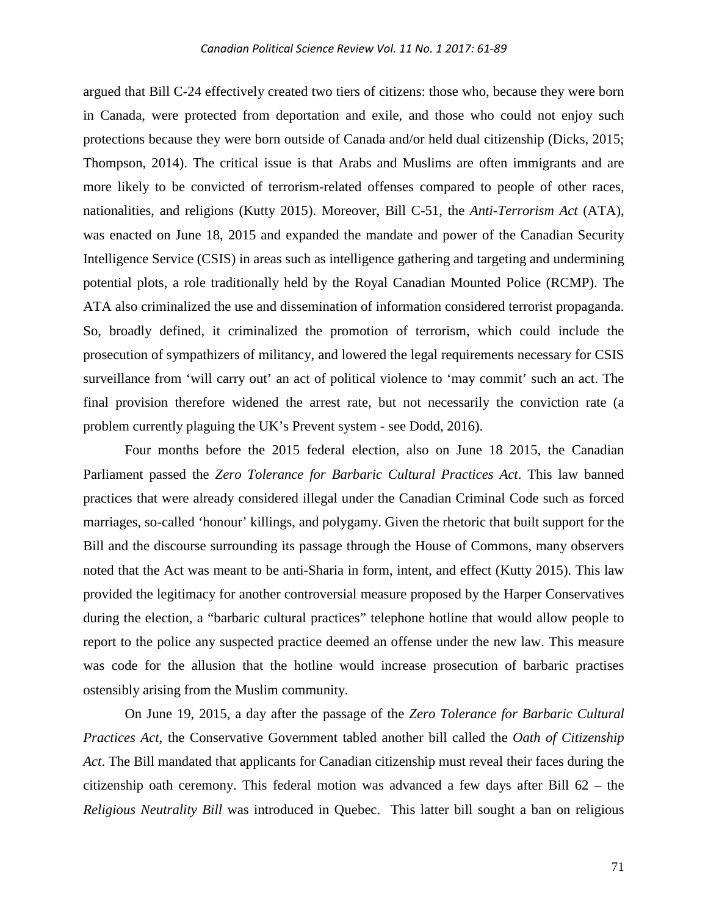argued that Bill C-24 effectively created two tiers of citizens: those who, because they were born in Canada, were protected from deportation and exile, and those who could not enjoy such protections because they were born outside of Canada and/or held dual citizenship (Dicks, 2015; Thompson, 2014). The critical issue is that Arabs and Muslims are often immigrants and are more likely to be convicted of terrorism-related offenses compared to people of other races, nationalities, and religions (Kutty 2015). Moreover, Bill C-51, the *Anti-Terrorism Act* (ATA), was enacted on June 18, 2015 and expanded the mandate and power of the Canadian Security Intelligence Service (CSIS) in areas such as intelligence gathering and targeting and undermining potential plots, a role traditionally held by the Royal Canadian Mounted Police (RCMP). The ATA also criminalized the use and dissemination of information considered terrorist propaganda. So, broadly defined, it criminalized the promotion of terrorism, which could include the prosecution of sympathizers of militancy, and lowered the legal requirements necessary for CSIS surveillance from 'will carry out' an act of political violence to 'may commit' such an act. The final provision therefore widened the arrest rate, but not necessarily the conviction rate (a problem currently plaguing the UK's Prevent system - see Dodd, 2016).

Four months before the 2015 federal election, also on June 18 2015, the Canadian Parliament passed the *[Zero Tolerance for Barbaric Cultural Practices Act](https://openparliament.ca/bills/41-2/S-7/)*. This law banned practices that were already considered illegal under the Canadian Criminal Code such as forced marriages, so-called 'honour' killings, and polygamy. Given the rhetoric that built support for the Bill and the discourse surrounding its passage through the House of Commons, many observers noted that the Act was meant to be anti-Sharia in form, intent, and effect (Kutty 2015). This law provided the legitimacy for another controversial measure proposed by the Harper Conservatives during the election, a "barbaric cultural practices" telephone hotline that would allow people to report to the police any suspected practice deemed an offense under the new law. This measure was code for the allusion that the hotline would increase prosecution of barbaric practises ostensibly arising from the Muslim community.

On June 19, 2015, a day after the passage of the *[Zero Tolerance for Barbaric Cultural](https://openparliament.ca/bills/41-2/S-7/)  [Practices Act](https://openparliament.ca/bills/41-2/S-7/)*, the Conservative Government tabled another bill called the *[Oath of Citizenship](http://news.gc.ca/web/article-en.do?nid=989459)  [Act](http://news.gc.ca/web/article-en.do?nid=989459)*. The Bill mandated that applicants for Canadian citizenship must reveal their faces during the citizenship oath ceremony. This federal motion was advanced a few days after Bill 62 – the *Religious Neutrality Bill* was introduced in Quebec. This latter bill sought a ban on religious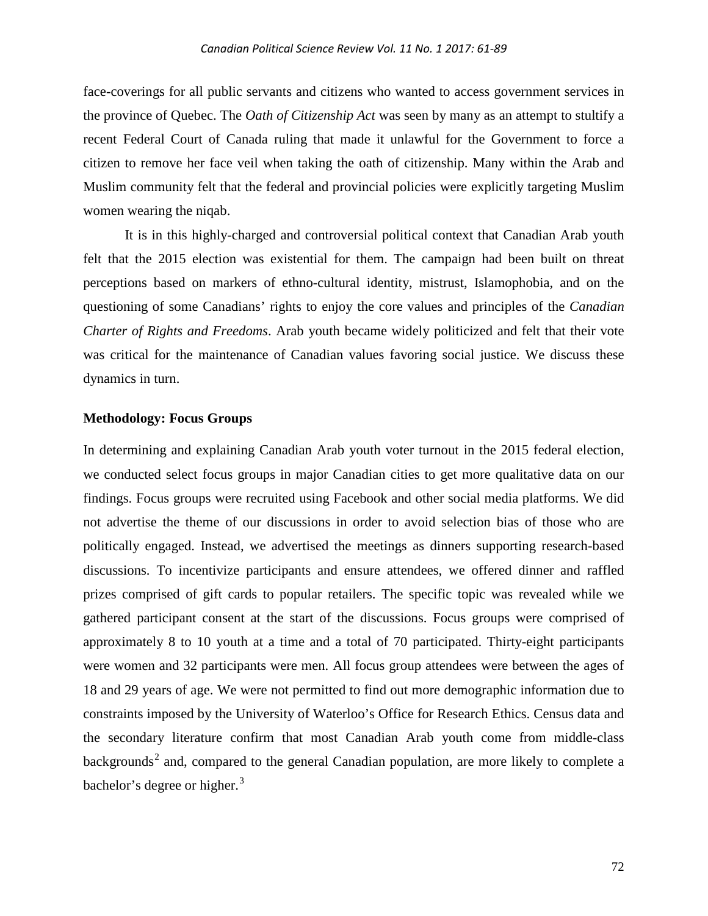face-coverings for all public servants and citizens who wanted to access government services in the province of Quebec. The *Oath of Citizenship Act* was seen by many as an attempt to stultify a recent Federal Court of Canada ruling that made it unlawful for the Government to force a citizen to remove her face veil when taking the oath of citizenship. Many within the Arab and Muslim community felt that the federal and provincial policies were explicitly targeting Muslim women wearing the niqab.

It is in this highly-charged and controversial political context that Canadian Arab youth felt that the 2015 election was existential for them. The campaign had been built on threat perceptions based on markers of ethno-cultural identity, mistrust, Islamophobia, and on the questioning of some Canadians' rights to enjoy the core values and principles of the *Canadian Charter of Rights and Freedoms*. Arab youth became widely politicized and felt that their vote was critical for the maintenance of Canadian values favoring social justice. We discuss these dynamics in turn.

#### **Methodology: Focus Groups**

In determining and explaining Canadian Arab youth voter turnout in the 2015 federal election, we conducted select focus groups in major Canadian cities to get more qualitative data on our findings. Focus groups were recruited using Facebook and other social media platforms. We did not advertise the theme of our discussions in order to avoid selection bias of those who are politically engaged. Instead, we advertised the meetings as dinners supporting research-based discussions. To incentivize participants and ensure attendees, we offered dinner and raffled prizes comprised of gift cards to popular retailers. The specific topic was revealed while we gathered participant consent at the start of the discussions. Focus groups were comprised of approximately 8 to 10 youth at a time and a total of 70 participated. Thirty-eight participants were women and 32 participants were men. All focus group attendees were between the ages of 18 and 29 years of age. We were not permitted to find out more demographic information due to constraints imposed by the University of Waterloo's Office for Research Ethics. Census data and the secondary literature confirm that most Canadian Arab youth come from middle-class backgrounds<sup>[2](#page-27-1)</sup> and, compared to the general Canadian population, are more likely to complete a bachelor's degree or higher. $3$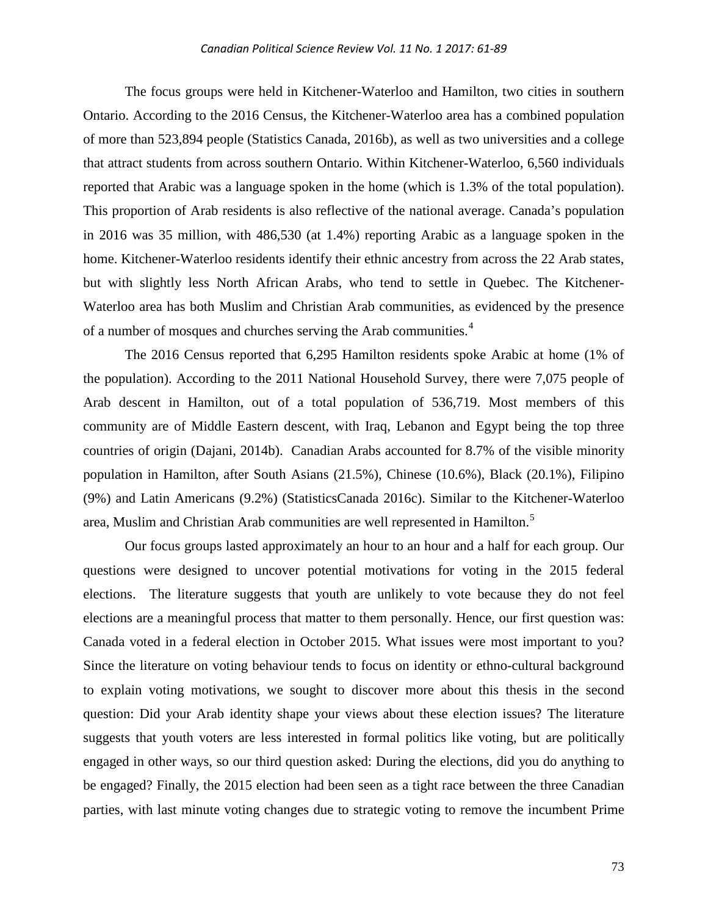The focus groups were held in Kitchener-Waterloo and Hamilton, two cities in southern Ontario. According to the 2016 Census, the Kitchener-Waterloo area has a combined population of more than 523,894 people (Statistics Canada, 2016b), as well as two universities and a college that attract students from across southern Ontario. Within Kitchener-Waterloo, 6,560 individuals reported that Arabic was a language spoken in the home (which is 1.3% of the total population). This proportion of Arab residents is also reflective of the national average. Canada's population in 2016 was 35 million, with 486,530 (at 1.4%) reporting Arabic as a language spoken in the home. Kitchener-Waterloo residents identify their ethnic ancestry from across the 22 Arab states, but with slightly less North African Arabs, who tend to settle in Quebec. The Kitchener-Waterloo area has both Muslim and Christian Arab communities, as evidenced by the presence of a number of mosques and churches serving the Arab communities.<sup>[4](#page-27-3)</sup>

The 2016 Census reported that 6,295 Hamilton residents spoke Arabic at home (1% of the population). According to the 2011 National Household Survey, there were 7,075 people of Arab descent in Hamilton, out of a total population of 536,719. Most members of this community are of Middle Eastern descent, with Iraq, Lebanon and Egypt being the top three countries of origin (Dajani, 2014b). Canadian Arabs accounted for 8.7% of the visible minority population in Hamilton, after South Asians (21.5%), Chinese (10.6%), Black (20.1%), Filipino (9%) and Latin Americans (9.2%) (StatisticsCanada 2016c). Similar to the Kitchener-Waterloo area, Muslim and Christian Arab communities are well represented in Hamilton. [5](#page-27-4)

Our focus groups lasted approximately an hour to an hour and a half for each group. Our questions were designed to uncover potential motivations for voting in the 2015 federal elections. The literature suggests that youth are unlikely to vote because they do not feel elections are a meaningful process that matter to them personally. Hence, our first question was: Canada voted in a federal election in October 2015. What issues were most important to you? Since the literature on voting behaviour tends to focus on identity or ethno-cultural background to explain voting motivations, we sought to discover more about this thesis in the second question: Did your Arab identity shape your views about these election issues? The literature suggests that youth voters are less interested in formal politics like voting, but are politically engaged in other ways, so our third question asked: During the elections, did you do anything to be engaged? Finally, the 2015 election had been seen as a tight race between the three Canadian parties, with last minute voting changes due to strategic voting to remove the incumbent Prime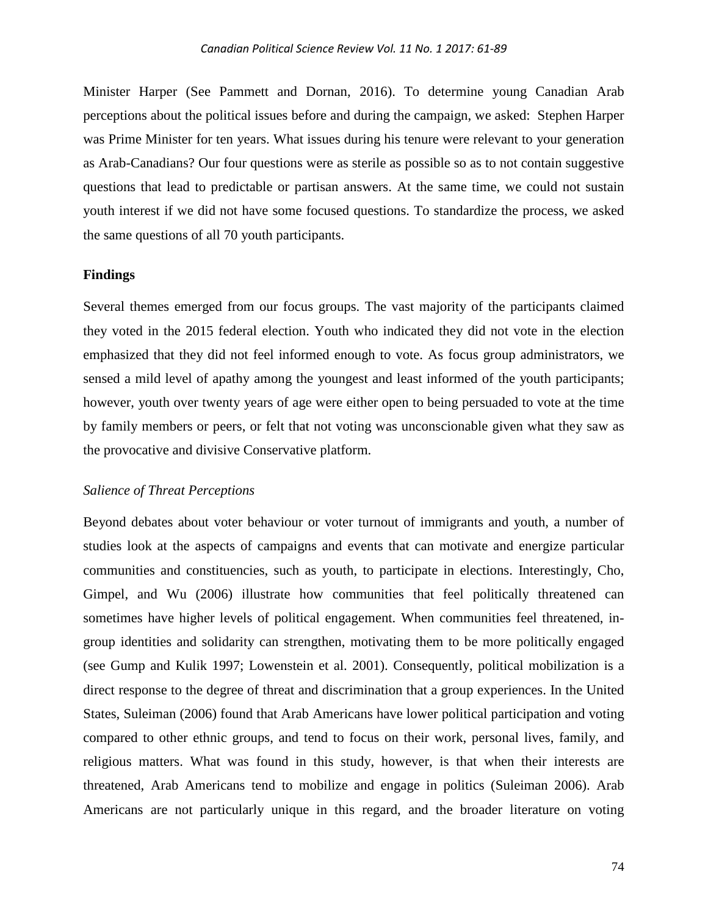Minister Harper (See Pammett and Dornan, 2016). To determine young Canadian Arab perceptions about the political issues before and during the campaign, we asked: Stephen Harper was Prime Minister for ten years. What issues during his tenure were relevant to your generation as Arab-Canadians? Our four questions were as sterile as possible so as to not contain suggestive questions that lead to predictable or partisan answers. At the same time, we could not sustain youth interest if we did not have some focused questions. To standardize the process, we asked the same questions of all 70 youth participants.

#### **Findings**

Several themes emerged from our focus groups. The vast majority of the participants claimed they voted in the 2015 federal election. Youth who indicated they did not vote in the election emphasized that they did not feel informed enough to vote. As focus group administrators, we sensed a mild level of apathy among the youngest and least informed of the youth participants; however, youth over twenty years of age were either open to being persuaded to vote at the time by family members or peers, or felt that not voting was unconscionable given what they saw as the provocative and divisive Conservative platform.

### *Salience of Threat Perceptions*

Beyond debates about voter behaviour or voter turnout of immigrants and youth, a number of studies look at the aspects of campaigns and events that can motivate and energize particular communities and constituencies, such as youth, to participate in elections. Interestingly, Cho, Gimpel, and Wu (2006) illustrate how communities that feel politically threatened can sometimes have higher levels of political engagement. When communities feel threatened, ingroup identities and solidarity can strengthen, motivating them to be more politically engaged (see Gump and Kulik 1997; Lowenstein et al. 2001). Consequently, political mobilization is a direct response to the degree of threat and discrimination that a group experiences. In the United States, Suleiman (2006) found that Arab Americans have lower political participation and voting compared to other ethnic groups, and tend to focus on their work, personal lives, family, and religious matters. What was found in this study, however, is that when their interests are threatened, Arab Americans tend to mobilize and engage in politics (Suleiman 2006). Arab Americans are not particularly unique in this regard, and the broader literature on voting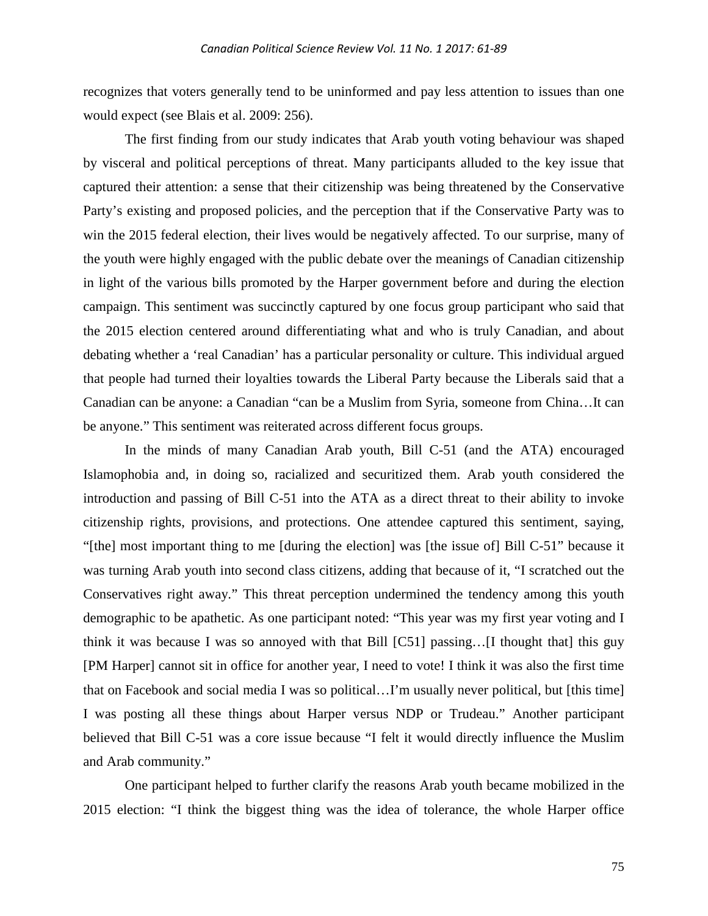recognizes that voters generally tend to be uninformed and pay less attention to issues than one would expect (see Blais et al. 2009: 256).

The first finding from our study indicates that Arab youth voting behaviour was shaped by visceral and political perceptions of threat. Many participants alluded to the key issue that captured their attention: a sense that their citizenship was being threatened by the Conservative Party's existing and proposed policies, and the perception that if the Conservative Party was to win the 2015 federal election, their lives would be negatively affected. To our surprise, many of the youth were highly engaged with the public debate over the meanings of Canadian citizenship in light of the various bills promoted by the Harper government before and during the election campaign. This sentiment was succinctly captured by one focus group participant who said that the 2015 election centered around differentiating what and who is truly Canadian, and about debating whether a 'real Canadian' has a particular personality or culture. This individual argued that people had turned their loyalties towards the Liberal Party because the Liberals said that a Canadian can be anyone: a Canadian "can be a Muslim from Syria, someone from China…It can be anyone." This sentiment was reiterated across different focus groups.

In the minds of many Canadian Arab youth, Bill C-51 (and the ATA) encouraged Islamophobia and, in doing so, racialized and securitized them. Arab youth considered the introduction and passing of Bill C-51 into the ATA as a direct threat to their ability to invoke citizenship rights, provisions, and protections. One attendee captured this sentiment, saying, "[the] most important thing to me [during the election] was [the issue of] Bill C-51" because it was turning Arab youth into second class citizens, adding that because of it, "I scratched out the Conservatives right away." This threat perception undermined the tendency among this youth demographic to be apathetic. As one participant noted: "This year was my first year voting and I think it was because I was so annoyed with that Bill [C51] passing…[I thought that] this guy [PM Harper] cannot sit in office for another year, I need to vote! I think it was also the first time that on Facebook and social media I was so political…I'm usually never political, but [this time] I was posting all these things about Harper versus NDP or Trudeau." Another participant believed that Bill C-51 was a core issue because "I felt it would directly influence the Muslim and Arab community."

One participant helped to further clarify the reasons Arab youth became mobilized in the 2015 election: "I think the biggest thing was the idea of tolerance, the whole Harper office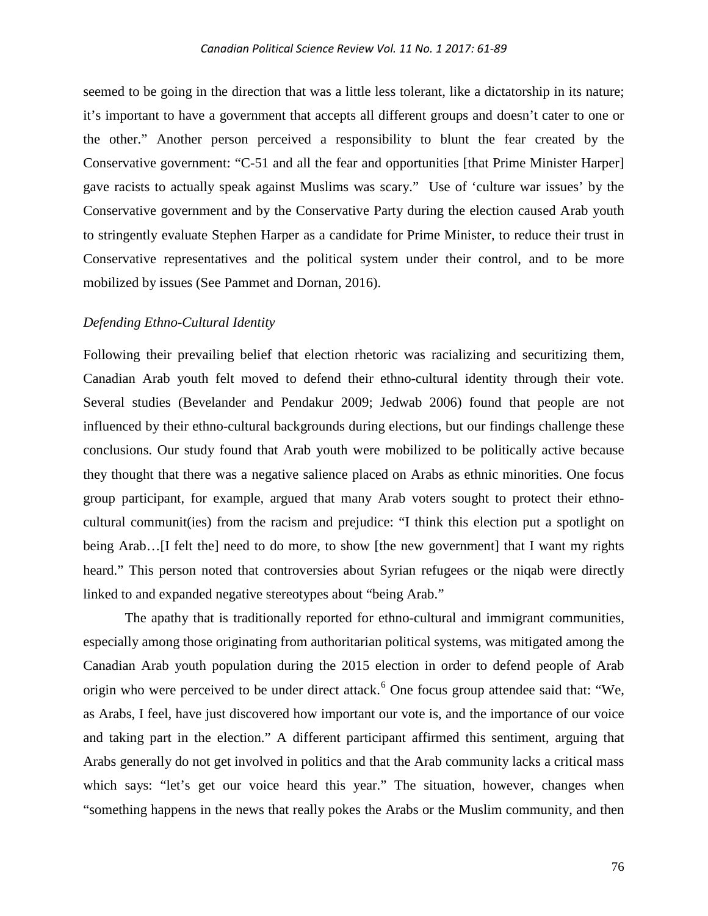seemed to be going in the direction that was a little less tolerant, like a dictatorship in its nature; it's important to have a government that accepts all different groups and doesn't cater to one or the other." Another person perceived a responsibility to blunt the fear created by the Conservative government: "C-51 and all the fear and opportunities [that Prime Minister Harper] gave racists to actually speak against Muslims was scary." Use of 'culture war issues' by the Conservative government and by the Conservative Party during the election caused Arab youth to stringently evaluate Stephen Harper as a candidate for Prime Minister, to reduce their trust in Conservative representatives and the political system under their control, and to be more mobilized by issues (See Pammet and Dornan, 2016).

### *Defending Ethno-Cultural Identity*

Following their prevailing belief that election rhetoric was racializing and securitizing them, Canadian Arab youth felt moved to defend their ethno-cultural identity through their vote. Several studies (Bevelander and Pendakur 2009; Jedwab 2006) found that people are not influenced by their ethno-cultural backgrounds during elections, but our findings challenge these conclusions. Our study found that Arab youth were mobilized to be politically active because they thought that there was a negative salience placed on Arabs as ethnic minorities. One focus group participant, for example, argued that many Arab voters sought to protect their ethnocultural communit(ies) from the racism and prejudice: "I think this election put a spotlight on being Arab…[I felt the] need to do more, to show [the new government] that I want my rights heard." This person noted that controversies about Syrian refugees or the niqab were directly linked to and expanded negative stereotypes about "being Arab."

The apathy that is traditionally reported for ethno-cultural and immigrant communities, especially among those originating from authoritarian political systems, was mitigated among the Canadian Arab youth population during the 2015 election in order to defend people of Arab origin who were perceived to be under direct attack.<sup>[6](#page-27-5)</sup> One focus group attendee said that: "We, as Arabs, I feel, have just discovered how important our vote is, and the importance of our voice and taking part in the election." A different participant affirmed this sentiment, arguing that Arabs generally do not get involved in politics and that the Arab community lacks a critical mass which says: "let's get our voice heard this year." The situation, however, changes when "something happens in the news that really pokes the Arabs or the Muslim community, and then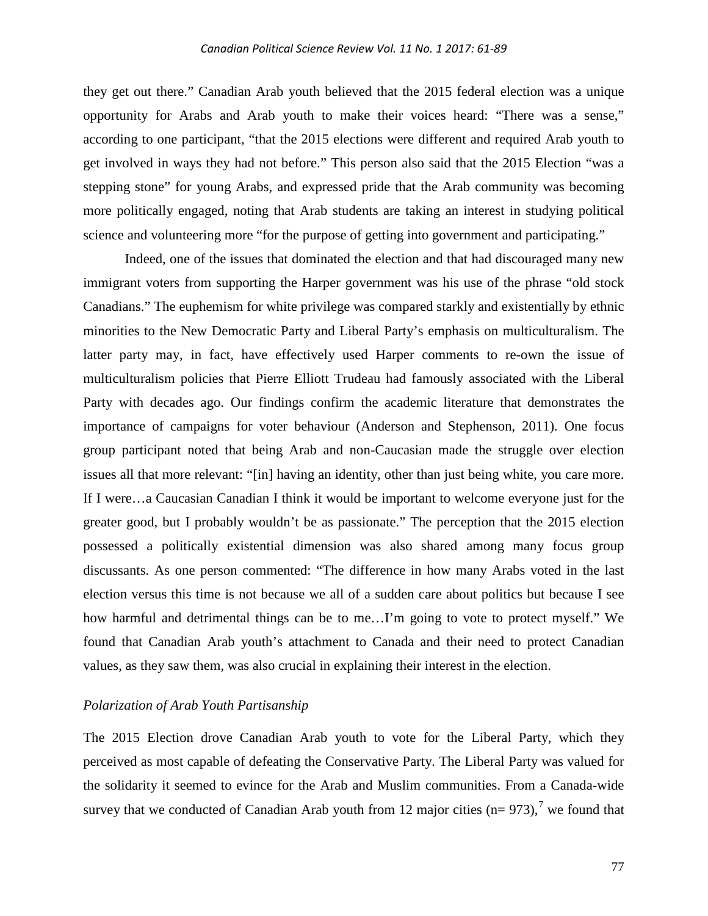they get out there." Canadian Arab youth believed that the 2015 federal election was a unique opportunity for Arabs and Arab youth to make their voices heard: "There was a sense," according to one participant, "that the 2015 elections were different and required Arab youth to get involved in ways they had not before." This person also said that the 2015 Election "was a stepping stone" for young Arabs, and expressed pride that the Arab community was becoming more politically engaged, noting that Arab students are taking an interest in studying political science and volunteering more "for the purpose of getting into government and participating."

Indeed, one of the issues that dominated the election and that had discouraged many new immigrant voters from supporting the Harper government was his use of the phrase "old stock Canadians." The euphemism for white privilege was compared starkly and existentially by ethnic minorities to the New Democratic Party and Liberal Party's emphasis on multiculturalism. The latter party may, in fact, have effectively used Harper comments to re-own the issue of multiculturalism policies that Pierre Elliott Trudeau had famously associated with the Liberal Party with decades ago. Our findings confirm the academic literature that demonstrates the importance of campaigns for voter behaviour (Anderson and Stephenson, 2011). One focus group participant noted that being Arab and non-Caucasian made the struggle over election issues all that more relevant: "[in] having an identity, other than just being white, you care more. If I were…a Caucasian Canadian I think it would be important to welcome everyone just for the greater good, but I probably wouldn't be as passionate." The perception that the 2015 election possessed a politically existential dimension was also shared among many focus group discussants. As one person commented: "The difference in how many Arabs voted in the last election versus this time is not because we all of a sudden care about politics but because I see how harmful and detrimental things can be to me...I'm going to vote to protect myself." We found that Canadian Arab youth's attachment to Canada and their need to protect Canadian values, as they saw them, was also crucial in explaining their interest in the election.

#### *Polarization of Arab Youth Partisanship*

The 2015 Election drove Canadian Arab youth to vote for the Liberal Party, which they perceived as most capable of defeating the Conservative Party. The Liberal Party was valued for the solidarity it seemed to evince for the Arab and Muslim communities. From a Canada-wide survey that we conducted of Canadian Arab youth from 12 major cities  $(n= 973)$  $(n= 973)$  $(n= 973)$ ,<sup>7</sup> we found that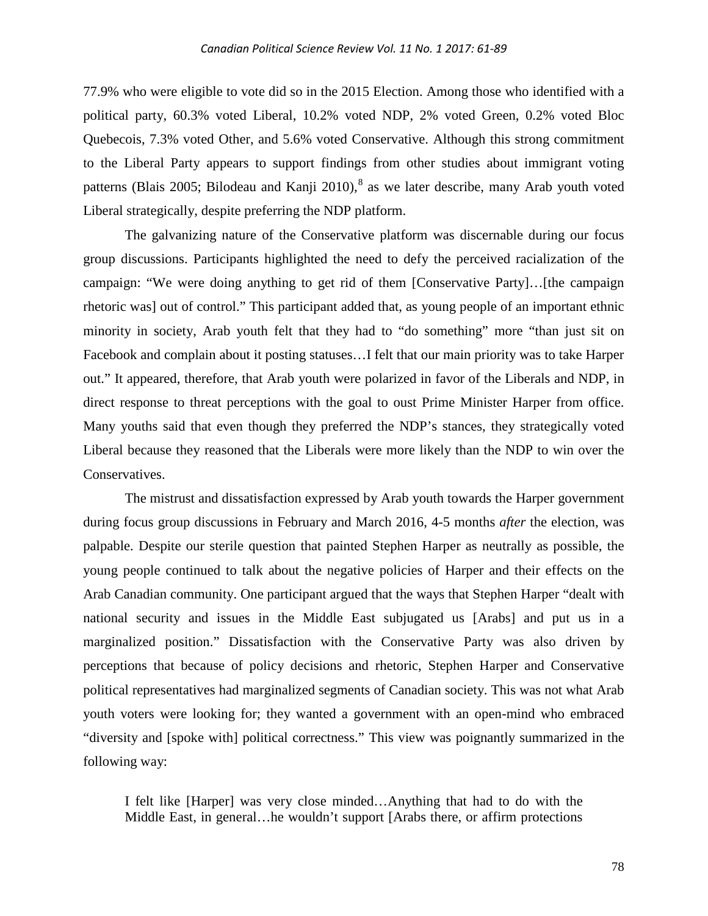77.9% who were eligible to vote did so in the 2015 Election. Among those who identified with a political party, 60.3% voted Liberal, 10.2% voted NDP, 2% voted Green, 0.2% voted Bloc Quebecois, 7.3% voted Other, and 5.6% voted Conservative. Although this strong commitment to the Liberal Party appears to support findings from other studies about immigrant voting patterns (Blais 2005; Bilodeau and Kanji 2010),<sup>[8](#page-27-7)</sup> as we later describe, many Arab youth voted Liberal strategically, despite preferring the NDP platform.

The galvanizing nature of the Conservative platform was discernable during our focus group discussions. Participants highlighted the need to defy the perceived racialization of the campaign: "We were doing anything to get rid of them [Conservative Party]…[the campaign rhetoric was] out of control." This participant added that, as young people of an important ethnic minority in society, Arab youth felt that they had to "do something" more "than just sit on Facebook and complain about it posting statuses…I felt that our main priority was to take Harper out." It appeared, therefore, that Arab youth were polarized in favor of the Liberals and NDP, in direct response to threat perceptions with the goal to oust Prime Minister Harper from office. Many youths said that even though they preferred the NDP's stances, they strategically voted Liberal because they reasoned that the Liberals were more likely than the NDP to win over the Conservatives.

The mistrust and dissatisfaction expressed by Arab youth towards the Harper government during focus group discussions in February and March 2016, 4-5 months *after* the election, was palpable. Despite our sterile question that painted Stephen Harper as neutrally as possible, the young people continued to talk about the negative policies of Harper and their effects on the Arab Canadian community. One participant argued that the ways that Stephen Harper "dealt with national security and issues in the Middle East subjugated us [Arabs] and put us in a marginalized position." Dissatisfaction with the Conservative Party was also driven by perceptions that because of policy decisions and rhetoric, Stephen Harper and Conservative political representatives had marginalized segments of Canadian society. This was not what Arab youth voters were looking for; they wanted a government with an open-mind who embraced "diversity and [spoke with] political correctness." This view was poignantly summarized in the following way:

I felt like [Harper] was very close minded…Anything that had to do with the Middle East, in general…he wouldn't support [Arabs there, or affirm protections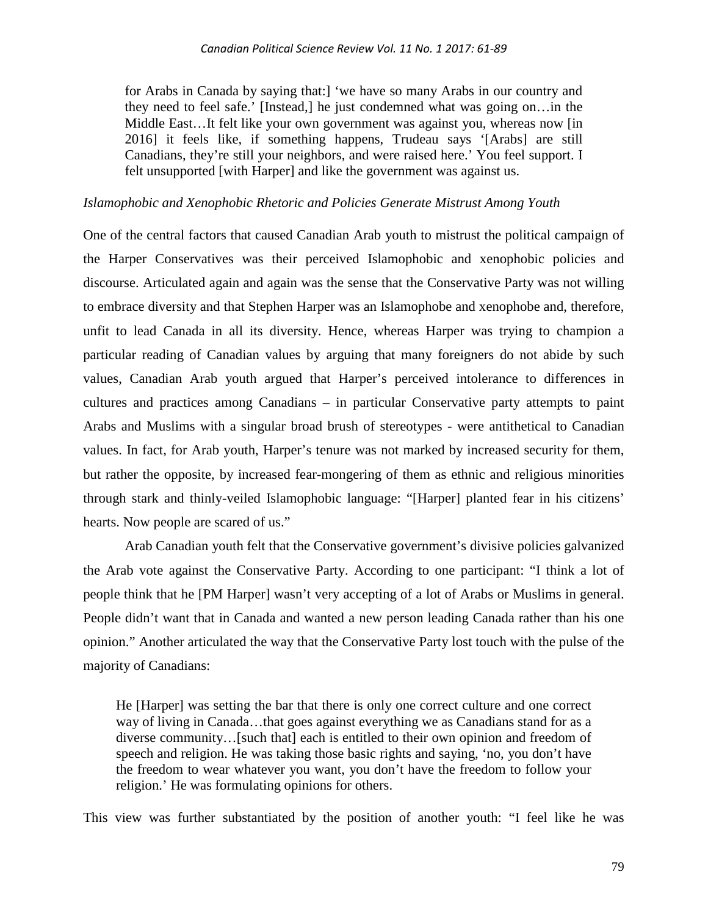for Arabs in Canada by saying that:] 'we have so many Arabs in our country and they need to feel safe.' [Instead,] he just condemned what was going on…in the Middle East…It felt like your own government was against you, whereas now [in 2016] it feels like, if something happens, Trudeau says '[Arabs] are still Canadians, they're still your neighbors, and were raised here.' You feel support. I felt unsupported [with Harper] and like the government was against us.

#### *Islamophobic and Xenophobic Rhetoric and Policies Generate Mistrust Among Youth*

One of the central factors that caused Canadian Arab youth to mistrust the political campaign of the Harper Conservatives was their perceived Islamophobic and xenophobic policies and discourse. Articulated again and again was the sense that the Conservative Party was not willing to embrace diversity and that Stephen Harper was an Islamophobe and xenophobe and, therefore, unfit to lead Canada in all its diversity. Hence, whereas Harper was trying to champion a particular reading of Canadian values by arguing that many foreigners do not abide by such values, Canadian Arab youth argued that Harper's perceived intolerance to differences in cultures and practices among Canadians – in particular Conservative party attempts to paint Arabs and Muslims with a singular broad brush of stereotypes - were antithetical to Canadian values. In fact, for Arab youth, Harper's tenure was not marked by increased security for them, but rather the opposite, by increased fear-mongering of them as ethnic and religious minorities through stark and thinly-veiled Islamophobic language: "[Harper] planted fear in his citizens' hearts. Now people are scared of us."

Arab Canadian youth felt that the Conservative government's divisive policies galvanized the Arab vote against the Conservative Party. According to one participant: "I think a lot of people think that he [PM Harper] wasn't very accepting of a lot of Arabs or Muslims in general. People didn't want that in Canada and wanted a new person leading Canada rather than his one opinion." Another articulated the way that the Conservative Party lost touch with the pulse of the majority of Canadians:

He [Harper] was setting the bar that there is only one correct culture and one correct way of living in Canada…that goes against everything we as Canadians stand for as a diverse community…[such that] each is entitled to their own opinion and freedom of speech and religion. He was taking those basic rights and saying, 'no, you don't have the freedom to wear whatever you want, you don't have the freedom to follow your religion.' He was formulating opinions for others.

This view was further substantiated by the position of another youth: "I feel like he was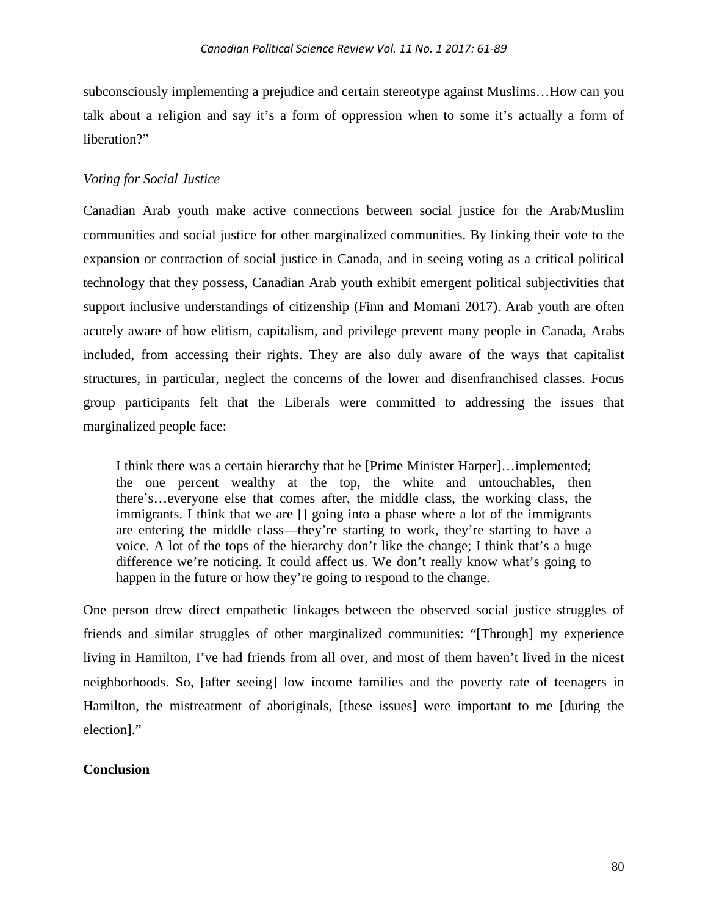subconsciously implementing a prejudice and certain stereotype against Muslims…How can you talk about a religion and say it's a form of oppression when to some it's actually a form of liberation?"

## *Voting for Social Justice*

Canadian Arab youth make active connections between social justice for the Arab/Muslim communities and social justice for other marginalized communities. By linking their vote to the expansion or contraction of social justice in Canada, and in seeing voting as a critical political technology that they possess, Canadian Arab youth exhibit emergent political subjectivities that support inclusive understandings of citizenship (Finn and Momani 2017). Arab youth are often acutely aware of how elitism, capitalism, and privilege prevent many people in Canada, Arabs included, from accessing their rights. They are also duly aware of the ways that capitalist structures, in particular, neglect the concerns of the lower and disenfranchised classes. Focus group participants felt that the Liberals were committed to addressing the issues that marginalized people face:

I think there was a certain hierarchy that he [Prime Minister Harper]…implemented; the one percent wealthy at the top, the white and untouchables, then there's…everyone else that comes after, the middle class, the working class, the immigrants. I think that we are [] going into a phase where a lot of the immigrants are entering the middle class—they're starting to work, they're starting to have a voice. A lot of the tops of the hierarchy don't like the change; I think that's a huge difference we're noticing. It could affect us. We don't really know what's going to happen in the future or how they're going to respond to the change.

One person drew direct empathetic linkages between the observed social justice struggles of friends and similar struggles of other marginalized communities: "[Through] my experience living in Hamilton, I've had friends from all over, and most of them haven't lived in the nicest neighborhoods. So, [after seeing] low income families and the poverty rate of teenagers in Hamilton, the mistreatment of aboriginals, [these issues] were important to me [during the election]."

## **Conclusion**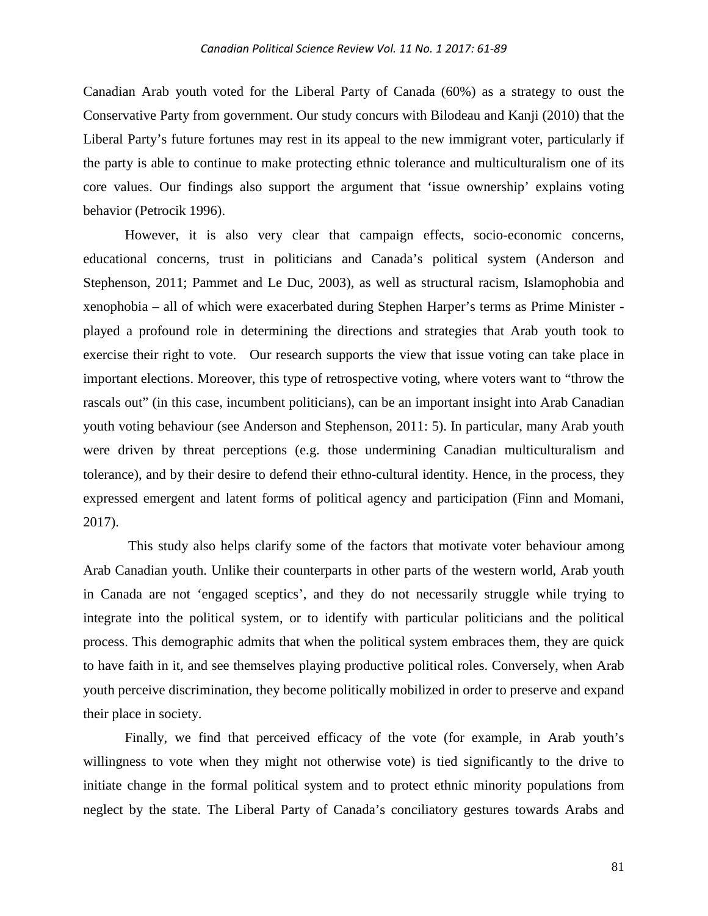Canadian Arab youth voted for the Liberal Party of Canada (60%) as a strategy to oust the Conservative Party from government. Our study concurs with Bilodeau and Kanji (2010) that the Liberal Party's future fortunes may rest in its appeal to the new immigrant voter, particularly if the party is able to continue to make protecting ethnic tolerance and multiculturalism one of its core values. Our findings also support the argument that 'issue ownership' explains voting behavior (Petrocik 1996).

However, it is also very clear that campaign effects, socio-economic concerns, educational concerns, trust in politicians and Canada's political system (Anderson and Stephenson, 2011; Pammet and Le Duc, 2003), as well as structural racism, Islamophobia and xenophobia – all of which were exacerbated during Stephen Harper's terms as Prime Minister played a profound role in determining the directions and strategies that Arab youth took to exercise their right to vote. Our research supports the view that issue voting can take place in important elections. Moreover, this type of retrospective voting, where voters want to "throw the rascals out" (in this case, incumbent politicians), can be an important insight into Arab Canadian youth voting behaviour (see Anderson and Stephenson, 2011: 5). In particular, many Arab youth were driven by threat perceptions (e.g. those undermining Canadian multiculturalism and tolerance), and by their desire to defend their ethno-cultural identity. Hence, in the process, they expressed emergent and latent forms of political agency and participation (Finn and Momani, 2017).

This study also helps clarify some of the factors that motivate voter behaviour among Arab Canadian youth. Unlike their counterparts in other parts of the western world, Arab youth in Canada are not 'engaged sceptics', and they do not necessarily struggle while trying to integrate into the political system, or to identify with particular politicians and the political process. This demographic admits that when the political system embraces them, they are quick to have faith in it, and see themselves playing productive political roles. Conversely, when Arab youth perceive discrimination, they become politically mobilized in order to preserve and expand their place in society.

Finally, we find that perceived efficacy of the vote (for example, in Arab youth's willingness to vote when they might not otherwise vote) is tied significantly to the drive to initiate change in the formal political system and to protect ethnic minority populations from neglect by the state. The Liberal Party of Canada's conciliatory gestures towards Arabs and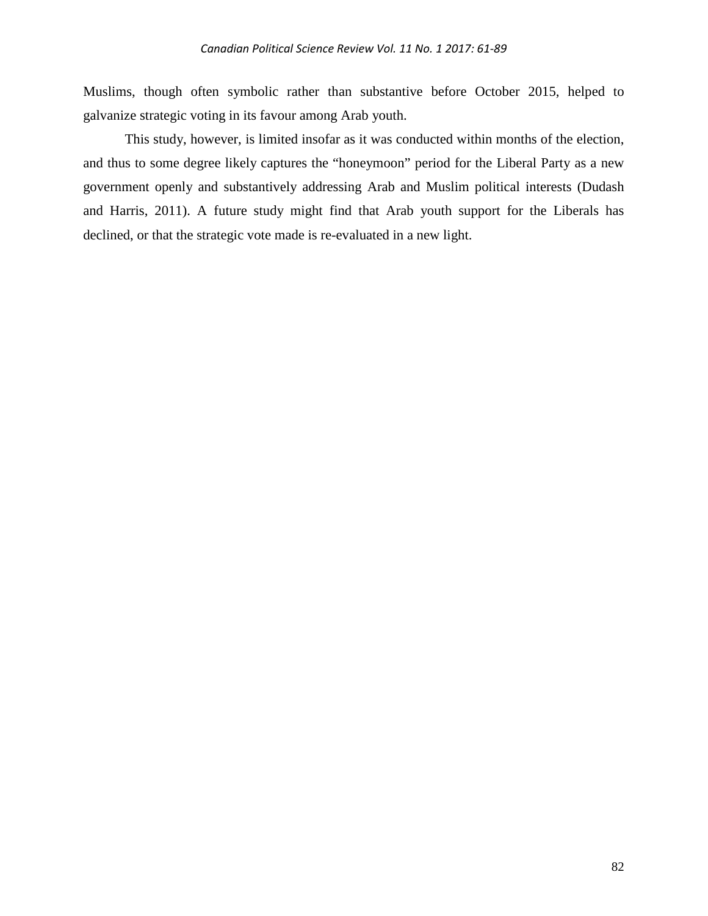Muslims, though often symbolic rather than substantive before October 2015, helped to galvanize strategic voting in its favour among Arab youth.

This study, however, is limited insofar as it was conducted within months of the election, and thus to some degree likely captures the "honeymoon" period for the Liberal Party as a new government openly and substantively addressing Arab and Muslim political interests (Dudash and Harris, 2011). A future study might find that Arab youth support for the Liberals has declined, or that the strategic vote made is re-evaluated in a new light.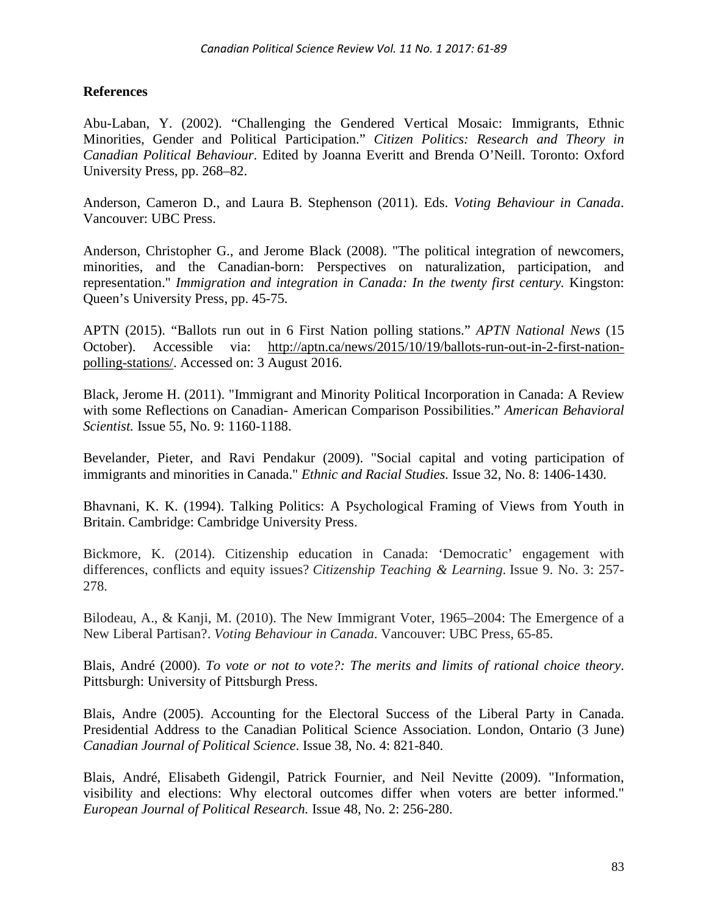# **References**

Abu-Laban, Y. (2002). "Challenging the Gendered Vertical Mosaic: Immigrants, Ethnic Minorities, Gender and Political Participation." *Citizen Politics: Research and Theory in Canadian Political Behaviour*. Edited by Joanna Everitt and Brenda O'Neill. Toronto: Oxford University Press, pp. 268–82.

Anderson, Cameron D., and Laura B. Stephenson (2011). Eds. *Voting Behaviour in Canada*. Vancouver: UBC Press.

Anderson, Christopher G., and Jerome Black (2008). "The political integration of newcomers, minorities, and the Canadian-born: Perspectives on naturalization, participation, and representation." *Immigration and integration in Canada: In the twenty first century.* Kingston: Queen's University Press, pp. 45-75.

APTN (2015). "Ballots run out in 6 First Nation polling stations." *APTN National News* (15 October). Accessible via: [http://aptn.ca/news/2015/10/19/ballots-run-out-in-2-first-nation](http://aptn.ca/news/2015/10/19/ballots-run-out-in-2-first-nation-polling-stations/)[polling-stations/.](http://aptn.ca/news/2015/10/19/ballots-run-out-in-2-first-nation-polling-stations/) Accessed on: 3 August 2016.

Black, Jerome H. (2011). "Immigrant and Minority Political Incorporation in Canada: A Review with some Reflections on Canadian- American Comparison Possibilities." *American Behavioral Scientist.* Issue 55, No. 9: 1160-1188.

Bevelander, Pieter, and Ravi Pendakur (2009). "Social capital and voting participation of immigrants and minorities in Canada." *Ethnic and Racial Studies.* Issue 32, No. 8: 1406-1430.

Bhavnani, K. K. (1994). Talking Politics: A Psychological Framing of Views from Youth in Britain. Cambridge: Cambridge University Press.

Bickmore, K. (2014). Citizenship education in Canada: 'Democratic' engagement with differences, conflicts and equity issues? *Citizenship Teaching & Learning*. Issue 9. No. 3: 257- 278.

Bilodeau, A., & Kanji, M. (2010). The New Immigrant Voter, 1965–2004: The Emergence of a New Liberal Partisan?. *Voting Behaviour in Canada*. Vancouver: UBC Press, 65-85.

Blais, André (2000). *To vote or not to vote?: The merits and limits of rational choice theory*. Pittsburgh: University of Pittsburgh Press.

Blais, Andre (2005). Accounting for the Electoral Success of the Liberal Party in Canada. Presidential Address to the Canadian Political Science Association. London, Ontario (3 June) *Canadian Journal of Political Science*. Issue 38, No. 4: 821-840.

Blais, André, Elisabeth Gidengil, Patrick Fournier, and Neil Nevitte (2009). "Information, visibility and elections: Why electoral outcomes differ when voters are better informed." *European Journal of Political Research.* Issue 48, No. 2: 256-280.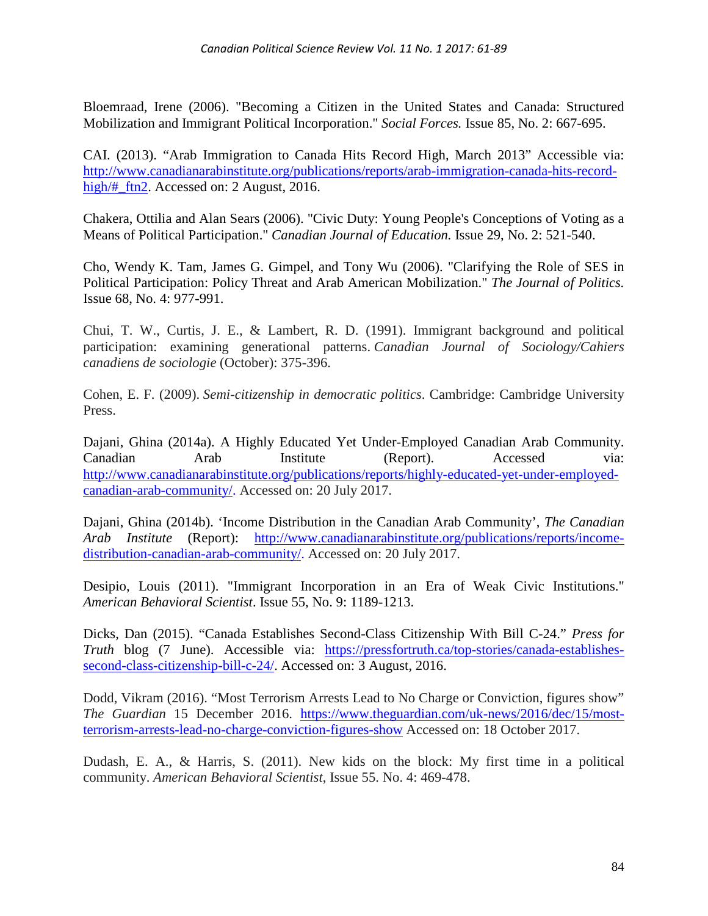Bloemraad, Irene (2006). "Becoming a Citizen in the United States and Canada: Structured Mobilization and Immigrant Political Incorporation." *Social Forces.* Issue 85, No. 2: 667-695.

CAI. (2013). "Arab Immigration to Canada Hits Record High, March 2013" Accessible via: [http://www.canadianarabinstitute.org/publications/reports/arab-immigration-canada-hits-record](http://www.canadianarabinstitute.org/publications/reports/arab-immigration-canada-hits-record-high/#_ftn2)high/# ftn2. Accessed on: 2 August, 2016.

Chakera, Ottilia and Alan Sears (2006). "Civic Duty: Young People's Conceptions of Voting as a Means of Political Participation." *Canadian Journal of Education.* Issue 29, No. 2: 521-540.

Cho, Wendy K. Tam, James G. Gimpel, and Tony Wu (2006). "Clarifying the Role of SES in Political Participation: Policy Threat and Arab American Mobilization." *The Journal of Politics.* Issue 68, No. 4: 977-991.

Chui, T. W., Curtis, J. E., & Lambert, R. D. (1991). Immigrant background and political participation: examining generational patterns. *Canadian Journal of Sociology/Cahiers canadiens de sociologie* (October): 375-396.

Cohen, E. F. (2009). *Semi-citizenship in democratic politics*. Cambridge: Cambridge University Press.

Dajani, Ghina (2014a). A Highly Educated Yet Under-Employed Canadian Arab Community. Canadian Arab Institute (Report). Accessed via: [http://www.canadianarabinstitute.org/publications/reports/highly-educated-yet-under-employed](http://www.canadianarabinstitute.org/publications/reports/highly-educated-yet-under-employed-canadian-arab-community/)[canadian-arab-community/.](http://www.canadianarabinstitute.org/publications/reports/highly-educated-yet-under-employed-canadian-arab-community/) Accessed on: 20 July 2017.

Dajani, Ghina (2014b). 'Income Distribution in the Canadian Arab Community', *The Canadian Arab Institute* (Report): [http://www.canadianarabinstitute.org/publications/reports/income](http://www.canadianarabinstitute.org/publications/reports/income-distribution-canadian-arab-community/)[distribution-canadian-arab-community/.](http://www.canadianarabinstitute.org/publications/reports/income-distribution-canadian-arab-community/) Accessed on: 20 July 2017.

Desipio, Louis (2011). "Immigrant Incorporation in an Era of Weak Civic Institutions." *American Behavioral Scientist*. Issue 55, No. 9: 1189-1213.

Dicks, Dan (2015). "Canada Establishes Second-Class Citizenship With Bill C-24." *Press for Truth* blog (7 June). Accessible via: [https://pressfortruth.ca/top-stories/canada-establishes](https://pressfortruth.ca/top-stories/canada-establishes-second-class-citizenship-bill-c-24/)[second-class-citizenship-bill-c-24/.](https://pressfortruth.ca/top-stories/canada-establishes-second-class-citizenship-bill-c-24/) Accessed on: 3 August, 2016.

Dodd, Vikram (2016). "Most Terrorism Arrests Lead to No Charge or Conviction, figures show" *The Guardian* 15 December 2016. [https://www.theguardian.com/uk-news/2016/dec/15/most](https://www.theguardian.com/uk-news/2016/dec/15/most-terrorism-arrests-lead-no-charge-conviction-figures-show)[terrorism-arrests-lead-no-charge-conviction-figures-show](https://www.theguardian.com/uk-news/2016/dec/15/most-terrorism-arrests-lead-no-charge-conviction-figures-show) Accessed on: 18 October 2017.

Dudash, E. A., & Harris, S. (2011). New kids on the block: My first time in a political community. *American Behavioral Scientist*, Issue 55. No. 4: 469-478.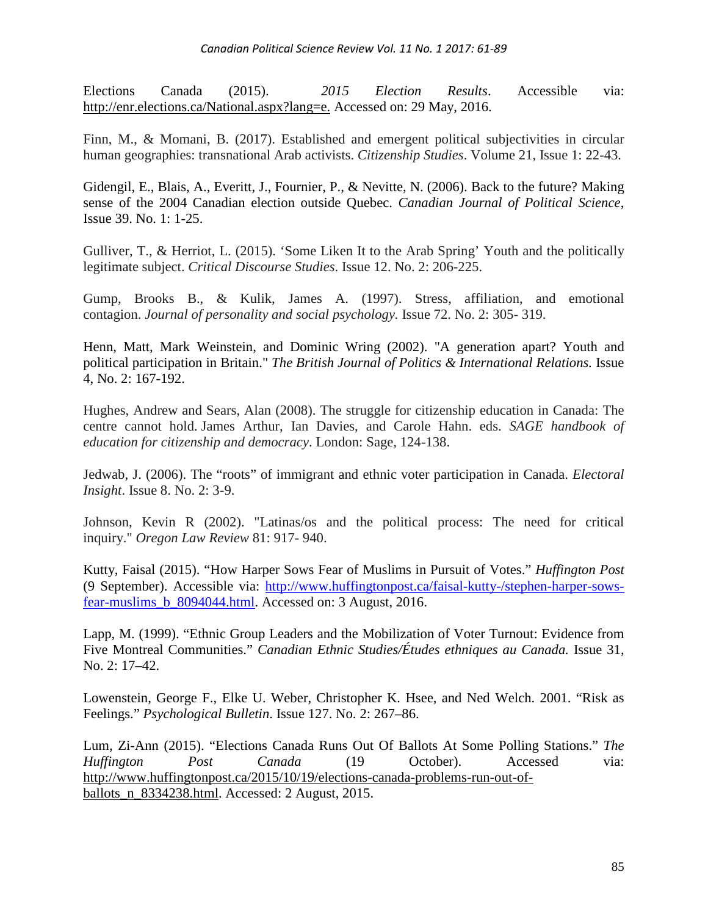Elections Canada (2015). *2015 Election Results*. Accessible via: [http://enr.elections.ca/National.aspx?lang=e.](http://enr.elections.ca/National.aspx?lang=e) Accessed on: 29 May, 2016.

Finn, M., & Momani, B. (2017). Established and emergent political subjectivities in circular human geographies: transnational Arab activists. *Citizenship Studies*. Volume 21, Issue 1: 22-43.

Gidengil, E., Blais, A., Everitt, J., Fournier, P., & Nevitte, N. (2006). Back to the future? Making sense of the 2004 Canadian election outside Quebec. *Canadian Journal of Political Science*, Issue 39. No. 1: 1-25.

Gulliver, T., & Herriot, L. (2015). 'Some Liken It to the Arab Spring' Youth and the politically legitimate subject. *Critical Discourse Studies*. Issue 12. No. 2: 206-225.

Gump, Brooks B., & Kulik, James A. (1997). Stress, affiliation, and emotional contagion. *Journal of personality and social psychology.* Issue 72. No. 2: 305- 319.

Henn, Matt, Mark Weinstein, and Dominic Wring (2002). "A generation apart? Youth and political participation in Britain." *The British Journal of Politics & International Relations.* Issue 4, No. 2: 167-192.

Hughes, Andrew and Sears, Alan (2008). The struggle for citizenship education in Canada: The centre cannot hold. James Arthur, Ian Davies, and Carole Hahn. eds. *SAGE handbook of education for citizenship and democracy*. London: Sage, 124-138.

Jedwab, J. (2006). The "roots" of immigrant and ethnic voter participation in Canada. *Electoral Insight*. Issue 8. No. 2: 3-9.

Johnson, Kevin R (2002). "Latinas/os and the political process: The need for critical inquiry." *Oregon Law Review* 81: 917- 940.

Kutty, Faisal (2015). "How Harper Sows Fear of Muslims in Pursuit of Votes." *Huffington Post* (9 September). Accessible via: [http://www.huffingtonpost.ca/faisal-kutty-/stephen-harper-sows](http://www.huffingtonpost.ca/faisal-kutty-/stephen-harper-sows-fear-muslims_b_8094044.html)[fear-muslims\\_b\\_8094044.html.](http://www.huffingtonpost.ca/faisal-kutty-/stephen-harper-sows-fear-muslims_b_8094044.html) Accessed on: 3 August, 2016.

Lapp, M. (1999). "Ethnic Group Leaders and the Mobilization of Voter Turnout: Evidence from Five Montreal Communities." *Canadian Ethnic Studies/Études ethniques au Canada.* Issue 31, No. 2: 17–42.

Lowenstein, George F., Elke U. Weber, Christopher K. Hsee, and Ned Welch. 2001. "Risk as Feelings." *Psychological Bulletin*. Issue 127. No. 2: 267–86.

Lum, Zi-Ann (2015). "Elections Canada Runs Out Of Ballots At Some Polling Stations." *The Huffington Post Canada* (19 October). Accessed via: [http://www.huffingtonpost.ca/2015/10/19/elections-canada-problems-run-out-of](http://www.huffingtonpost.ca/2015/10/19/elections-canada-problems-run-out-of-ballots_n_8334238.html)[ballots\\_n\\_8334238.html.](http://www.huffingtonpost.ca/2015/10/19/elections-canada-problems-run-out-of-ballots_n_8334238.html) Accessed: 2 August, 2015.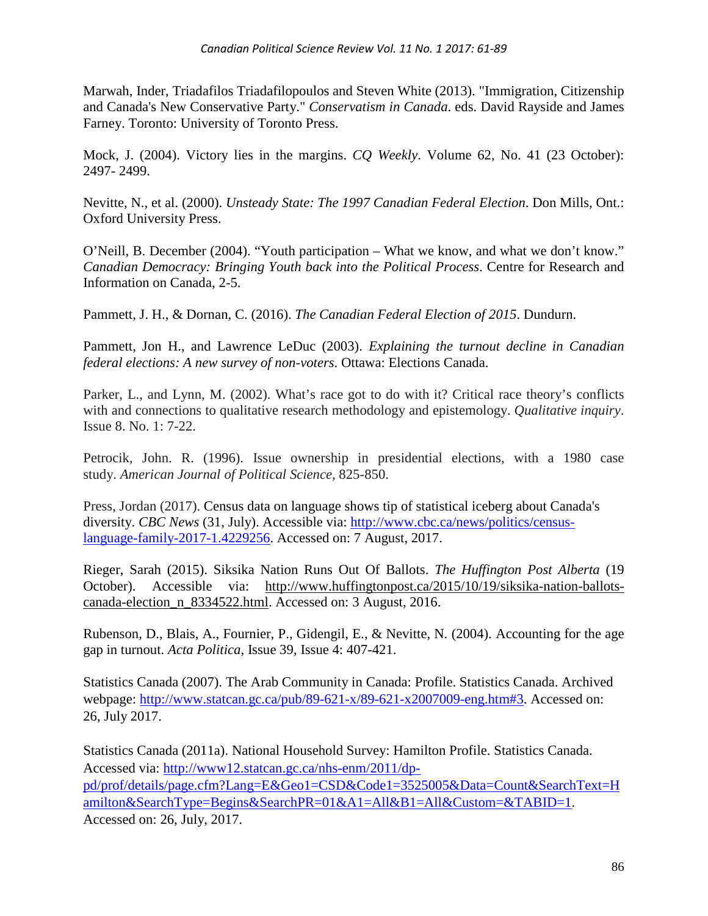Marwah, Inder, Triadafilos Triadafilopoulos and Steven White (2013). "Immigration, Citizenship and Canada's New Conservative Party." *Conservatism in Canada*. eds. David Rayside and James Farney. Toronto: University of Toronto Press.

Mock, J. (2004). Victory lies in the margins. *CQ Weekly*. Volume 62, No. 41 (23 October): 2497- 2499.

Nevitte, N., et al. (2000). *Unsteady State: The 1997 Canadian Federal Election*. Don Mills, Ont.: Oxford University Press.

O'Neill, B. December (2004). "Youth participation – What we know, and what we don't know." *Canadian Democracy: Bringing Youth back into the Political Process*. Centre for Research and Information on Canada, 2-5.

Pammett, J. H., & Dornan, C. (2016). *The Canadian Federal Election of 2015*. Dundurn.

Pammett, Jon H., and Lawrence LeDuc (2003). *Explaining the turnout decline in Canadian federal elections: A new survey of non-voters*. Ottawa: Elections Canada.

Parker, L., and Lynn, M. (2002). What's race got to do with it? Critical race theory's conflicts with and connections to qualitative research methodology and epistemology. *Qualitative inquiry*. Issue 8. No. 1: 7-22.

Petrocik, John. R. (1996). Issue ownership in presidential elections, with a 1980 case study. *American Journal of Political Science*, 825-850.

Press, Jordan (2017). Census data on language shows tip of statistical iceberg about Canada's diversity. *CBC News* (31, July). Accessible via: [http://www.cbc.ca/news/politics/census](http://www.cbc.ca/news/politics/census-language-family-2017-1.4229256)[language-family-2017-1.4229256.](http://www.cbc.ca/news/politics/census-language-family-2017-1.4229256) Accessed on: 7 August, 2017.

Rieger, Sarah (2015). Siksika Nation Runs Out Of Ballots. *The Huffington Post Alberta* (19 October). Accessible via: [http://www.huffingtonpost.ca/2015/10/19/siksika-nation-ballots](http://www.huffingtonpost.ca/2015/10/19/siksika-nation-ballots-canada-election_n_8334522.html)[canada-election\\_n\\_8334522.html.](http://www.huffingtonpost.ca/2015/10/19/siksika-nation-ballots-canada-election_n_8334522.html) Accessed on: 3 August, 2016.

Rubenson, D., Blais, A., Fournier, P., Gidengil, E., & Nevitte, N. (2004). Accounting for the age gap in turnout. *Acta Politica*, Issue 39, Issue 4: 407-421.

Statistics Canada (2007). The Arab Community in Canada: Profile. Statistics Canada. Archived webpage: [http://www.statcan.gc.ca/pub/89-621-x/89-621-x2007009-eng.htm#3.](http://www.statcan.gc.ca/pub/89-621-x/89-621-x2007009-eng.htm#3) Accessed on: 26, July 2017.

Statistics Canada (2011a). National Household Survey: Hamilton Profile. Statistics Canada. Accessed via: [http://www12.statcan.gc.ca/nhs-enm/2011/dp](http://www12.statcan.gc.ca/nhs-enm/2011/dp-pd/prof/details/page.cfm?Lang=E&Geo1=CSD&Code1=3525005&Data=Count&SearchText=Hamilton&SearchType=Begins&SearchPR=01&A1=All&B1=All&Custom=&TABID=1)[pd/prof/details/page.cfm?Lang=E&Geo1=CSD&Code1=3525005&Data=Count&SearchText=H](http://www12.statcan.gc.ca/nhs-enm/2011/dp-pd/prof/details/page.cfm?Lang=E&Geo1=CSD&Code1=3525005&Data=Count&SearchText=Hamilton&SearchType=Begins&SearchPR=01&A1=All&B1=All&Custom=&TABID=1) [amilton&SearchType=Begins&SearchPR=01&A1=All&B1=All&Custom=&TABID=1.](http://www12.statcan.gc.ca/nhs-enm/2011/dp-pd/prof/details/page.cfm?Lang=E&Geo1=CSD&Code1=3525005&Data=Count&SearchText=Hamilton&SearchType=Begins&SearchPR=01&A1=All&B1=All&Custom=&TABID=1) Accessed on: 26, July, 2017.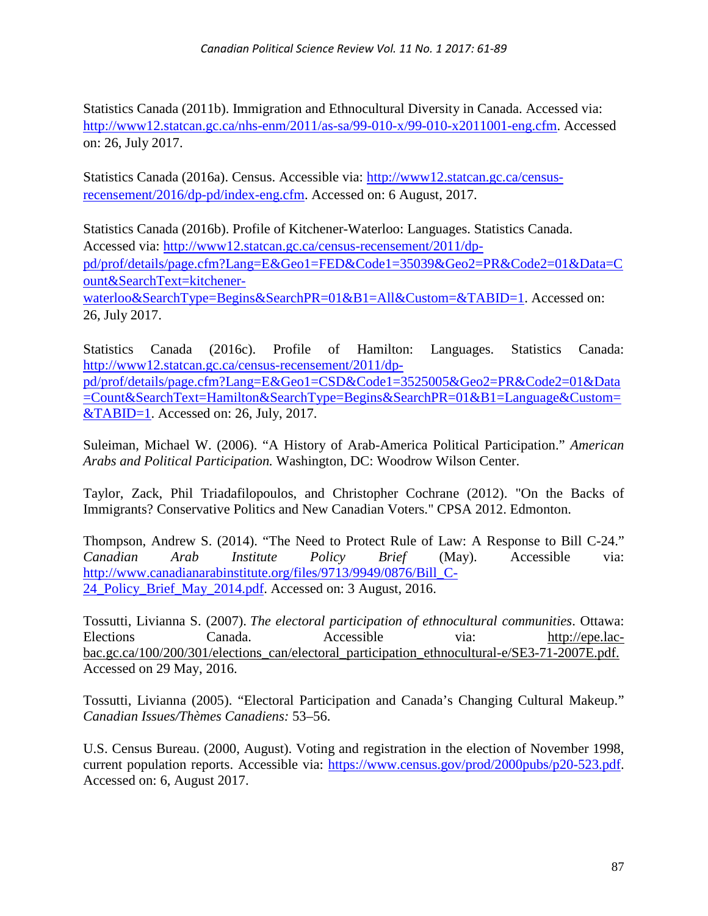Statistics Canada (2011b). Immigration and Ethnocultural Diversity in Canada. Accessed via: [http://www12.statcan.gc.ca/nhs-enm/2011/as-sa/99-010-x/99-010-x2011001-eng.cfm.](http://www12.statcan.gc.ca/nhs-enm/2011/as-sa/99-010-x/99-010-x2011001-eng.cfm) Accessed on: 26, July 2017.

Statistics Canada (2016a). Census. Accessible via: [http://www12.statcan.gc.ca/census](http://www12.statcan.gc.ca/census-recensement/2016/dp-pd/index-eng.cfm)[recensement/2016/dp-pd/index-eng.cfm.](http://www12.statcan.gc.ca/census-recensement/2016/dp-pd/index-eng.cfm) Accessed on: 6 August, 2017.

Statistics Canada (2016b). Profile of Kitchener-Waterloo: Languages. Statistics Canada. Accessed via: [http://www12.statcan.gc.ca/census-recensement/2011/dp](http://www12.statcan.gc.ca/census-recensement/2011/dp-pd/prof/details/page.cfm?Lang=E&Geo1=FED&Code1=35039&Geo2=PR&Code2=01&Data=Count&SearchText=kitchener-waterloo&SearchType=Begins&SearchPR=01&B1=All&Custom=&TABID=1)[pd/prof/details/page.cfm?Lang=E&Geo1=FED&Code1=35039&Geo2=PR&Code2=01&Data=C](http://www12.statcan.gc.ca/census-recensement/2011/dp-pd/prof/details/page.cfm?Lang=E&Geo1=FED&Code1=35039&Geo2=PR&Code2=01&Data=Count&SearchText=kitchener-waterloo&SearchType=Begins&SearchPR=01&B1=All&Custom=&TABID=1) [ount&SearchText=kitchener](http://www12.statcan.gc.ca/census-recensement/2011/dp-pd/prof/details/page.cfm?Lang=E&Geo1=FED&Code1=35039&Geo2=PR&Code2=01&Data=Count&SearchText=kitchener-waterloo&SearchType=Begins&SearchPR=01&B1=All&Custom=&TABID=1)[waterloo&SearchType=Begins&SearchPR=01&B1=All&Custom=&TABID=1.](http://www12.statcan.gc.ca/census-recensement/2011/dp-pd/prof/details/page.cfm?Lang=E&Geo1=FED&Code1=35039&Geo2=PR&Code2=01&Data=Count&SearchText=kitchener-waterloo&SearchType=Begins&SearchPR=01&B1=All&Custom=&TABID=1) Accessed on: 26, July 2017.

Statistics Canada (2016c). Profile of Hamilton: Languages. Statistics Canada: [http://www12.statcan.gc.ca/census-recensement/2011/dp](http://www12.statcan.gc.ca/census-recensement/2011/dp-pd/prof/details/page.cfm?Lang=E&Geo1=CSD&Code1=3525005&Geo2=PR&Code2=01&Data=Count&SearchText=Hamilton&SearchType=Begins&SearchPR=01&B1=Language&Custom=&TABID=1)[pd/prof/details/page.cfm?Lang=E&Geo1=CSD&Code1=3525005&Geo2=PR&Code2=01&Data](http://www12.statcan.gc.ca/census-recensement/2011/dp-pd/prof/details/page.cfm?Lang=E&Geo1=CSD&Code1=3525005&Geo2=PR&Code2=01&Data=Count&SearchText=Hamilton&SearchType=Begins&SearchPR=01&B1=Language&Custom=&TABID=1) [=Count&SearchText=Hamilton&SearchType=Begins&SearchPR=01&B1=Language&Custom=](http://www12.statcan.gc.ca/census-recensement/2011/dp-pd/prof/details/page.cfm?Lang=E&Geo1=CSD&Code1=3525005&Geo2=PR&Code2=01&Data=Count&SearchText=Hamilton&SearchType=Begins&SearchPR=01&B1=Language&Custom=&TABID=1) [&TABID=1.](http://www12.statcan.gc.ca/census-recensement/2011/dp-pd/prof/details/page.cfm?Lang=E&Geo1=CSD&Code1=3525005&Geo2=PR&Code2=01&Data=Count&SearchText=Hamilton&SearchType=Begins&SearchPR=01&B1=Language&Custom=&TABID=1) Accessed on: 26, July, 2017.

Suleiman, Michael W. (2006). "A History of Arab-America Political Participation." *American Arabs and Political Participation.* Washington, DC: Woodrow Wilson Center.

Taylor, Zack, Phil Triadafilopoulos, and Christopher Cochrane (2012). "On the Backs of Immigrants? Conservative Politics and New Canadian Voters." CPSA 2012. Edmonton.

Thompson, Andrew S. (2014). "The Need to Protect Rule of Law: A Response to Bill C-24." *Canadian Arab Institute Policy Brief* (May). Accessible via: [http://www.canadianarabinstitute.org/files/9713/9949/0876/Bill\\_C-](http://www.canadianarabinstitute.org/files/9713/9949/0876/Bill_C-24_Policy_Brief_May_2014.pdf)[24\\_Policy\\_Brief\\_May\\_2014.pdf.](http://www.canadianarabinstitute.org/files/9713/9949/0876/Bill_C-24_Policy_Brief_May_2014.pdf) Accessed on: 3 August, 2016.

Tossutti, Livianna S. (2007). *The electoral participation of ethnocultural communities*. Ottawa: Elections Canada. Accessible via: [http://epe.lac](http://epe.lac-bac.gc.ca/100/200/301/elections_can/electoral_participation_ethnocultural-e/SE3-71-2007E.pdf)[bac.gc.ca/100/200/301/elections\\_can/electoral\\_participation\\_ethnocultural-e/SE3-71-2007E.pdf.](http://epe.lac-bac.gc.ca/100/200/301/elections_can/electoral_participation_ethnocultural-e/SE3-71-2007E.pdf) Accessed on 29 May, 2016.

Tossutti, Livianna (2005). "Electoral Participation and Canada's Changing Cultural Makeup." *Canadian Issues/Thèmes Canadiens:* 53–56.

U.S. Census Bureau. (2000, August). Voting and registration in the election of November 1998, current population reports. Accessible via: [https://www.census.gov/prod/2000pubs/p20-523.pdf.](https://www.census.gov/prod/2000pubs/p20-523.pdf) Accessed on: 6, August 2017.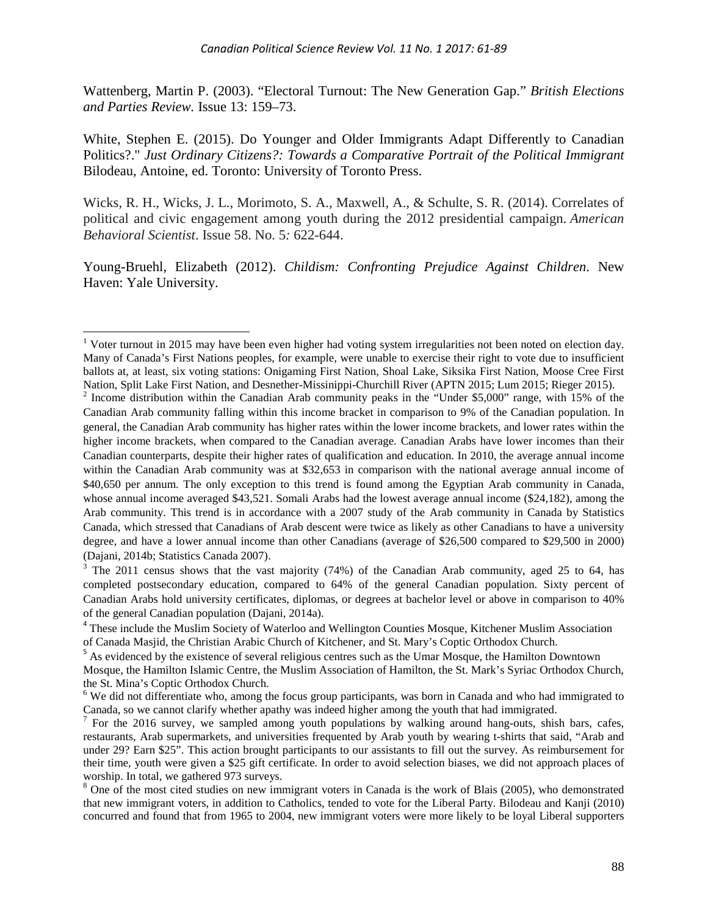Wattenberg, Martin P. (2003). "Electoral Turnout: The New Generation Gap." *British Elections and Parties Review.* Issue 13: 159–73.

White, Stephen E. (2015). Do Younger and Older Immigrants Adapt Differently to Canadian Politics?." *Just Ordinary Citizens?: Towards a Comparative Portrait of the Political Immigrant* Bilodeau, Antoine, ed. Toronto: University of Toronto Press.

Wicks, R. H., Wicks, J. L., Morimoto, S. A., Maxwell, A., & Schulte, S. R. (2014). Correlates of political and civic engagement among youth during the 2012 presidential campaign. *American Behavioral Scientist*. Issue 58. No. 5*:* 622-644.

Young-Bruehl, Elizabeth (2012). *Childism: Confronting Prejudice Against Children*. New Haven: Yale University.

<span id="page-27-2"></span> $3$  The 2011 census shows that the vast majority (74%) of the Canadian Arab community, aged 25 to 64, has completed postsecondary education, compared to 64% of the general Canadian population. Sixty percent of Canadian Arabs hold university certificates, diplomas, or degrees at bachelor level or above in comparison to 40% of the general Canadian population (Dajani, 2014a).

<span id="page-27-0"></span><sup>&</sup>lt;sup>1</sup> Voter turnout in 2015 may have been even higher had voting system irregularities not been noted on election day. Many of Canada's First Nations peoples, for example, were unable to exercise their right to vote due to insufficient ballots at, at least, six voting stations: Onigaming First Nation, Shoal Lake, Siksika First Nation, Moose Cree First<br>Nation, Split Lake First Nation, and Desnether-Missinippi-Churchill River (APTN 2015: Lum 2015: Rieger 2

<span id="page-27-1"></span>Nation, Split Lake First Nation, and Desnether-Missinippi-Churchill River (APTN 2015; Rieger 2015; Rieger 2015). 2 Income distribution within the Canadian Arab community peaks in the "Under \$5,000" range, with 15% of the Canadian Arab community falling within this income bracket in comparison to 9% of the Canadian population. In general, the Canadian Arab community has higher rates within the lower income brackets, and lower rates within the higher income brackets, when compared to the Canadian average. Canadian Arabs have lower incomes than their Canadian counterparts, despite their higher rates of qualification and education. In 2010, the average annual income within the Canadian Arab community was at \$32,653 in comparison with the national average annual income of \$40,650 per annum. The only exception to this trend is found among the Egyptian Arab community in Canada, whose annual income averaged \$43,521. Somali Arabs had the lowest average annual income (\$24,182), among the Arab community. This trend is in accordance with a 2007 study of the Arab community in Canada by Statistics Canada, which stressed that Canadians of Arab descent were twice as likely as other Canadians to have a university degree, and have a lower annual income than other Canadians (average of \$26,500 compared to \$29,500 in 2000) (Dajani, 2014b; Statistics Canada 2007).

<span id="page-27-3"></span><sup>4</sup> These include the Muslim Society of Waterloo and Wellington Counties Mosque, Kitchener Muslim Association of Canada Masjid, the Christian Arabic Church of Kitchener, and St. Mary's Coptic Orthodox Church. <sup>5</sup> As evidenced by the existence of several religious centres such as the Umar Mosque, the Hamilton Downtown

<span id="page-27-4"></span>Mosque, the Hamilton Islamic Centre, the Muslim Association of Hamilton, the St. Mark's Syriac Orthodox Church, the St. Mina's Coptic Orthodox Church.

<span id="page-27-5"></span><sup>&</sup>lt;sup>6</sup> We did not differentiate who, among the focus group participants, was born in Canada and who had immigrated to Canada, so we cannot clarify whether apathy was indeed higher among the youth that had immigrated.

<span id="page-27-6"></span><sup>&</sup>lt;sup>7</sup> For the 2016 survey, we sampled among youth populations by walking around hang-outs, shish bars, cafes, restaurants, Arab supermarkets, and universities frequented by Arab youth by wearing t-shirts that said, "Arab and under 29? Earn \$25". This action brought participants to our assistants to fill out the survey. As reimbursement for their time, youth were given a \$25 gift certificate. In order to avoid selection biases, we did not approach places of worship. In total, we gathered 973 surveys.

<span id="page-27-7"></span> $\delta$  One of the most cited studies on new immigrant voters in Canada is the work of Blais (2005), who demonstrated that new immigrant voters, in addition to Catholics, tended to vote for the Liberal Party. Bilodeau and Kanji (2010) concurred and found that from 1965 to 2004, new immigrant voters were more likely to be loyal Liberal supporters